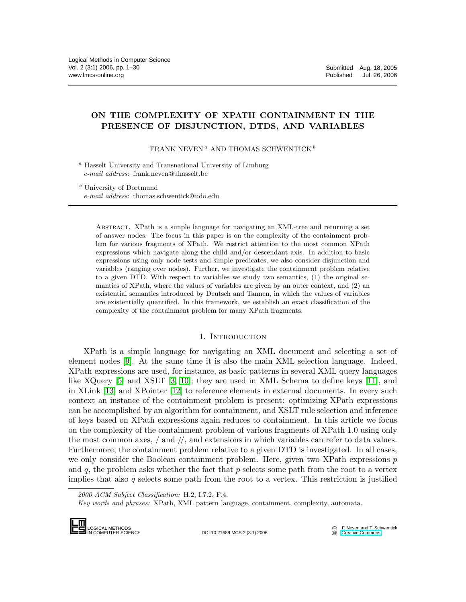# ON THE COMPLEXITY OF XPATH CONTAINMENT IN THE PRESENCE OF DISJUNCTION, DTDS, AND VARIABLES

FRANK NEVEN<sup> $a$ </sup> AND THOMAS SCHWENTICK<sup>b</sup>

<sup>a</sup> Hasselt University and Transnational University of Limburg e-mail address: frank.neven@uhasselt.be

<sup>b</sup> University of Dortmund e-mail address: thomas.schwentick@udo.edu

> Abstract. XPath is a simple language for navigating an XML-tree and returning a set of answer nodes. The focus in this paper is on the complexity of the containment problem for various fragments of XPath. We restrict attention to the most common XPath expressions which navigate along the child and/or descendant axis. In addition to basic expressions using only node tests and simple predicates, we also consider disjunction and variables (ranging over nodes). Further, we investigate the containment problem relative to a given DTD. With respect to variables we study two semantics, (1) the original semantics of XPath, where the values of variables are given by an outer context, and (2) an existential semantics introduced by Deutsch and Tannen, in which the values of variables are existentially quantified. In this framework, we establish an exact classification of the complexity of the containment problem for many XPath fragments.

## 1. INTRODUCTION

XPath is a simple language for navigating an XML document and selecting a set of element nodes [\[9\]](#page-28-0). At the same time it is also the main XML selection language. Indeed, XPath expressions are used, for instance, as basic patterns in several XML query languages like XQuery [\[5\]](#page-28-1) and XSLT [\[3,](#page-28-2) [10\]](#page-28-3); they are used in XML Schema to define keys [\[11\]](#page-28-4), and in XLink [\[13\]](#page-28-5) and XPointer [\[12\]](#page-28-6) to reference elements in external documents. In every such context an instance of the containment problem is present: optimizing XPath expressions can be accomplished by an algorithm for containment, and XSLT rule selection and inference of keys based on XPath expressions again reduces to containment. In this article we focus on the complexity of the containment problem of various fragments of XPath 1.0 using only the most common axes,  $/$  and  $//$ , and extensions in which variables can refer to data values. Furthermore, the containment problem relative to a given DTD is investigated. In all cases, we only consider the Boolean containment problem. Here, given two XPath expressions  $p$ and q, the problem asks whether the fact that  $p$  selects some path from the root to a vertex implies that also  $q$  selects some path from the root to a vertex. This restriction is justified

2000 ACM Subject Classification: H.2, I.7.2, F.4.

Key words and phrases: XPath, XML pattern language, containment, complexity, automata.



DOI:10.2168/LMCS-2 (3:1) 2006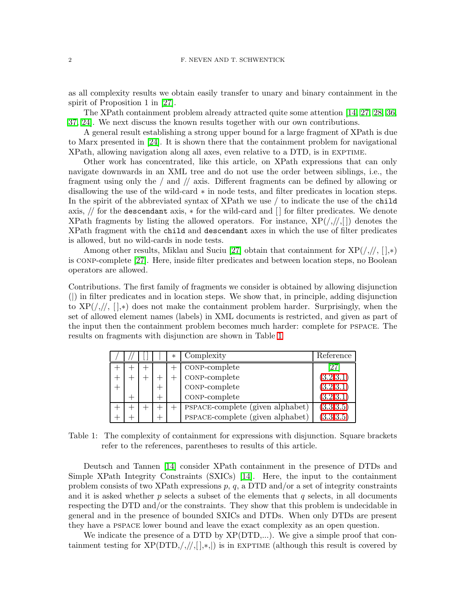as all complexity results we obtain easily transfer to unary and binary containment in the spirit of Proposition 1 in [\[27\]](#page-29-0).

The XPath containment problem already attracted quite some attention [\[14,](#page-28-7) [27,](#page-29-0) [28,](#page-29-1) [36,](#page-29-2) [37,](#page-29-3) [24\]](#page-29-4). We next discuss the known results together with our own contributions.

A general result establishing a strong upper bound for a large fragment of XPath is due to Marx presented in [\[24\]](#page-29-4). It is shown there that the containment problem for navigational XPath, allowing navigation along all axes, even relative to a DTD, is in exptime.

Other work has concentrated, like this article, on XPath expressions that can only navigate downwards in an XML tree and do not use the order between siblings, i.e., the fragment using only the / and // axis. Different fragments can be defined by allowing or disallowing the use of the wild-card ∗ in node tests, and filter predicates in location steps. In the spirit of the abbreviated syntax of XPath we use / to indicate the use of the child axis, // for the descendant axis, ∗ for the wild-card and [ ] for filter predicates. We denote XPath fragments by listing the allowed operators. For instance,  $XP(\frac{1}{1},||)$  denotes the XPath fragment with the child and descendant axes in which the use of filter predicates is allowed, but no wild-cards in node tests.

Among other results, Miklau and Suciu [\[27\]](#page-29-0) obtain that containment for  $XP(\frac{\pi}{2}, \frac{\pi}{2})$ is conp-complete [\[27\]](#page-29-0). Here, inside filter predicates and between location steps, no Boolean operators are allowed.

Contributions. The first family of fragments we consider is obtained by allowing disjunction (|) in filter predicates and in location steps. We show that, in principle, adding disjunction to  $XP(\frac{1}{2}, \frac{1}{2})$  does not make the containment problem harder. Surprisingly, when the set of allowed element names (labels) in XML documents is restricted, and given as part of the input then the containment problem becomes much harder: complete for pspace. The results on fragments with disjunction are shown in Table [1](#page-1-0)

|  |  | $\ast$ | Complexity                       | Reference  |
|--|--|--------|----------------------------------|------------|
|  |  |        | CONP-complete                    | '27        |
|  |  |        | CONP-complete                    | (3.2, 3.1) |
|  |  |        | CONP-complete                    | (3.2, 3.1) |
|  |  |        | CONP-complete                    | (3.2, 3.1) |
|  |  |        | PSPACE-complete (given alphabet) | (3.3,3.5)  |
|  |  |        | PSPACE-complete (given alphabet) | (3.3.3.5)  |

<span id="page-1-0"></span>Table 1: The complexity of containment for expressions with disjunction. Square brackets refer to the references, parentheses to results of this article.

Deutsch and Tannen [\[14\]](#page-28-7) consider XPath containment in the presence of DTDs and Simple XPath Integrity Constraints (SXICs) [\[14\]](#page-28-7). Here, the input to the containment problem consists of two XPath expressions  $p, q$ , a DTD and/or a set of integrity constraints and it is asked whether  $p$  selects a subset of the elements that  $q$  selects, in all documents respecting the DTD and/or the constraints. They show that this problem is undecidable in general and in the presence of bounded SXICs and DTDs. When only DTDs are present they have a pspace lower bound and leave the exact complexity as an open question.

We indicate the presence of a DTD by  $XP(DTD,...)$ . We give a simple proof that containment testing for  $XP(DTD, /, //, [,*,])$  is in EXPTIME (although this result is covered by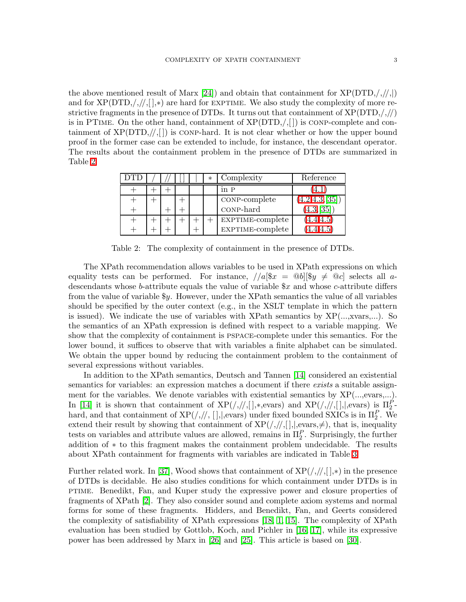the above mentioned result of Marx [\[24\]](#page-29-4)) and obtain that containment for  $XP(DTD, /, / /, |)$ and for  $XP(DTD, /, / /, []$ ,\*) are hard for EXPTIME. We also study the complexity of more restrictive fragments in the presence of DTDs. It turns out that containment of  $XP(DTD, /, //)$ is in PTIME. On the other hand, containment of  $XP(DTD, \sqrt{1})$  is CONP-complete and containment of  $XP(DTD, \frac{1}{1})$  is con-hard. It is not clear whether or how the upper bound proof in the former case can be extended to include, for instance, the descendant operator. The results about the containment problem in the presence of DTDs are summarized in Table [2.](#page-2-0)

|  |  | $\ast$ | Complexity       | Reference      |
|--|--|--------|------------------|----------------|
|  |  |        | in P             |                |
|  |  |        | CONP-complete    | (4.2, 4.3, 35] |
|  |  |        | CONP-hard        | (4.3, 35)      |
|  |  |        | EXPTIME-complete | (4.4.4.5)      |
|  |  |        | EXPTIME-complete | 4.4.4.5        |

<span id="page-2-0"></span>Table 2: The complexity of containment in the presence of DTDs.

The XPath recommendation allows variables to be used in XPath expressions on which equality tests can be performed. For instance,  $//a$ [\$ $x = Qb$ ][\$ $y \neq Qc$ ] selects all adescendants whose b-attribute equals the value of variable  $x$  and whose c-attribute differs from the value of variable  $y$ . However, under the XPath semantics the value of all variables should be specified by the outer context (e.g., in the XSLT template in which the pattern is issued). We indicate the use of variables with XPath semantics by XP(...,xvars,...). So the semantics of an XPath expression is defined with respect to a variable mapping. We show that the complexity of containment is pspace-complete under this semantics. For the lower bound, it suffices to observe that with variables a finite alphabet can be simulated. We obtain the upper bound by reducing the containment problem to the containment of several expressions without variables.

In addition to the XPath semantics, Deutsch and Tannen [\[14\]](#page-28-7) considered an existential semantics for variables: an expression matches a document if there exists a suitable assignment for the variables. We denote variables with existential semantics by XP(...,evars,...). In [\[14\]](#page-28-7) it is shown that containment of  $XP(\frac{1}{2}, \frac{1}{2}, \frac{1}{2})$  and  $XP(\frac{1}{2}, \frac{1}{2}, \frac{1}{2})$ , evars) is  $\Pi_2^P$ . hard, and that containment of  $\text{XP}(/,//, [], |, \text{evars})$  under fixed bounded SXICs is in  $\Pi_2^P$ . We extend their result by showing that containment of  $XP(\frac{1}{2},\frac{1}{2})$ , that is, inequality tests on variables and attribute values are allowed, remains in  $\Pi_2^P$ . Surprisingly, the further addition of ∗ to this fragment makes the containment problem undecidable. The results about XPath containment for fragments with variables are indicated in Table [3](#page-3-0)

Further related work. In [\[37\]](#page-29-3), Wood shows that containment of  $XP(\frac{1}{2},\frac{1}{2})$  in the presence of DTDs is decidable. He also studies conditions for which containment under DTDs is in ptime. Benedikt, Fan, and Kuper study the expressive power and closure properties of fragments of XPath [\[2\]](#page-28-8). They also consider sound and complete axiom systems and normal forms for some of these fragments. Hidders, and Benedikt, Fan, and Geerts considered the complexity of satisfiability of XPath expressions [\[18,](#page-28-9) [1,](#page-28-10) [15\]](#page-28-11). The complexity of XPath evaluation has been studied by Gottlob, Koch, and Pichler in [\[16,](#page-28-12) [17\]](#page-28-13), while its expressive power has been addressed by Marx in [\[26\]](#page-29-6) and [\[25\]](#page-29-7). This article is based on [\[30\]](#page-29-8).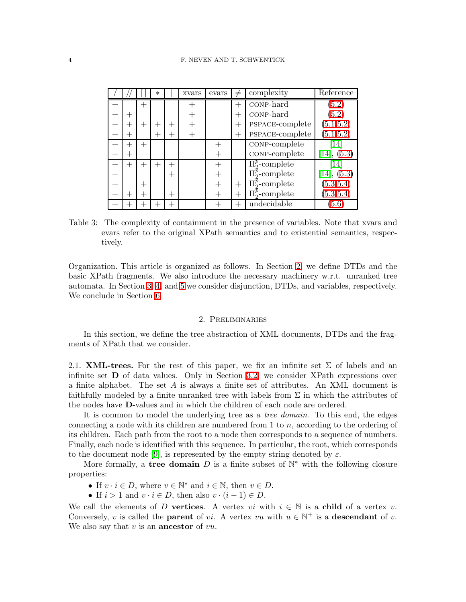|                    |  | $\ast$ |     | xvars | evars | $\neq$ | complexity              | Reference                  |
|--------------------|--|--------|-----|-------|-------|--------|-------------------------|----------------------------|
|                    |  |        |     |       |       | $+$    | CONP-hard               | 5.2                        |
|                    |  |        |     |       |       | $+$    | CONP-hard               | (5.2)                      |
| ┿                  |  |        |     |       |       | $^{+}$ | PSPACE-complete         | (5.1, 5.2)                 |
| ┿                  |  |        |     |       |       | $+$    | PSPACE-complete         | (5.1, 5.2)                 |
| $^+$               |  |        |     |       |       |        | CONP-complete           | 14                         |
| $+$                |  |        |     |       |       |        | CONP-complete           | (5.3)<br>$\left[14\right]$ |
| $\hspace{0.1mm} +$ |  |        | $+$ |       |       |        | $\Pi_2^p$ -complete     | 14                         |
| $\,+\,$            |  |        | ┿   |       |       |        | $\Pi_{2}^{p}$ -complete | (5.3)<br>[14],             |
| $\hspace{0.1mm} +$ |  |        |     |       |       | $^{+}$ | $\Pi_{2}^{p}$ -complete | (5.3, 5.4)                 |
| $^{\mathrm{+}}$    |  |        | $+$ |       |       |        | $\Pi_{2}^{p}$ -complete | (5.3, 5.4)                 |
|                    |  |        |     |       |       |        | undecidable             | 5.6                        |

<span id="page-3-0"></span>Table 3: The complexity of containment in the presence of variables. Note that xvars and evars refer to the original XPath semantics and to existential semantics, respectively.

Organization. This article is organized as follows. In Section [2,](#page-3-1) we define DTDs and the basic XPath fragments. We also introduce the necessary machinery w.r.t. unranked tree automata. In Section [3,](#page-7-0) [4,](#page-12-1) and [5](#page-18-0) we consider disjunction, DTDs, and variables, respectively. We conclude in Section [6.](#page-27-0)

## 2. Preliminaries

<span id="page-3-1"></span>In this section, we define the tree abstraction of XML documents, DTDs and the fragments of XPath that we consider.

2.1. **XML-trees.** For the rest of this paper, we fix an infinite set  $\Sigma$  of labels and an infinite set D of data values. Only in Section [3.2,](#page-9-2) we consider XPath expressions over a finite alphabet. The set  $A$  is always a finite set of attributes. An XML document is faithfully modeled by a finite unranked tree with labels from  $\Sigma$  in which the attributes of the nodes have D-values and in which the children of each node are ordered.

It is common to model the underlying tree as a *tree domain*. To this end, the edges connecting a node with its children are numbered from 1 to n, according to the ordering of its children. Each path from the root to a node then corresponds to a sequence of numbers. Finally, each node is identified with this sequence. In particular, the root, which corresponds to the document node [\[9\]](#page-28-0), is represented by the empty string denoted by  $\varepsilon$ .

More formally, a tree domain D is a finite subset of  $\mathbb{N}^*$  with the following closure properties:

- If  $v \cdot i \in D$ , where  $v \in \mathbb{N}^*$  and  $i \in \mathbb{N}$ , then  $v \in D$ .
- If  $i > 1$  and  $v \cdot i \in D$ , then also  $v \cdot (i 1) \in D$ .

We call the elements of D vertices. A vertex vi with  $i \in \mathbb{N}$  is a child of a vertex v. Conversely, v is called the **parent** of vi. A vertex vu with  $u \in \mathbb{N}^+$  is a **descendant** of v. We also say that  $v$  is an **ancestor** of  $vu$ .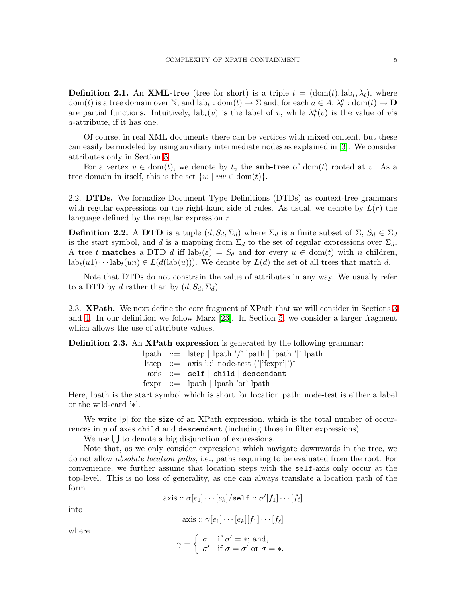**Definition 2.1.** An **XML-tree** (tree for short) is a triple  $t = (\text{dom}(t), \text{lab}_t, \lambda_t)$ , where dom(t) is a tree domain over  $\mathbb N$ , and  $\text{lab}_t : \text{dom}(t) \to \Sigma$  and, for each  $a \in A$ ,  $\lambda_t^a : \text{dom}(t) \to \mathbf{D}$ are partial functions. Intuitively,  $\text{lab}_t(v)$  is the label of v, while  $\lambda_t^a(v)$  is the value of v's a-attribute, if it has one.

Of course, in real XML documents there can be vertices with mixed content, but these can easily be modeled by using auxiliary intermediate nodes as explained in [\[3\]](#page-28-2). We consider attributes only in Section [5.](#page-18-0)

For a vertex  $v \in \text{dom}(t)$ , we denote by  $t_v$  the **sub-tree** of dom(t) rooted at v. As a tree domain in itself, this is the set  $\{w \mid vw \in \text{dom}(t)\}.$ 

2.2. DTDs. We formalize Document Type Definitions (DTDs) as context-free grammars with regular expressions on the right-hand side of rules. As usual, we denote by  $L(r)$  the language defined by the regular expression r.

**Definition 2.2.** A DTD is a tuple  $(d, S_d, \Sigma_d)$  where  $\Sigma_d$  is a finite subset of  $\Sigma$ ,  $S_d \in \Sigma_d$ is the start symbol, and d is a mapping from  $\Sigma_d$  to the set of regular expressions over  $\Sigma_d$ . A tree t **matches** a DTD d iff  $lab_t(\varepsilon) = S_d$  and for every  $u \in dom(t)$  with n children,  $lab_t(u1)\cdots lab_t(un) \in L(d(lab(u)))$ . We denote by  $L(d)$  the set of all trees that match d.

Note that DTDs do not constrain the value of attributes in any way. We usually refer to a DTD by d rather than by  $(d, S_d, \Sigma_d)$ .

2.3. **XPath.** We next define the core fragment of XPath that we will consider in Sections [3](#page-7-0) and [4.](#page-12-1) In our definition we follow Marx [\[23\]](#page-29-9). In Section [5,](#page-18-0) we consider a larger fragment which allows the use of attribute values.

<span id="page-4-0"></span>Definition 2.3. An XPath expression is generated by the following grammar:

|  | lpath ::= lstep   lpath '/' lpath   lpath ' ' lpath |
|--|-----------------------------------------------------|
|  | lstep ::= $axis$ '::' node-test (' 'fexpr' ')*      |
|  | $axis ::= self   child   descendant$                |
|  | $fexpr ::=$ lpath   lpath 'or' lpath                |

Here, lpath is the start symbol which is short for location path; node-test is either a label or the wild-card '∗'.

We write  $|p|$  for the **size** of an XPath expression, which is the total number of occurrences in  $p$  of axes child and descendant (including those in filter expressions).

We use  $\bigcup$  to denote a big disjunction of expressions.

Note that, as we only consider expressions which navigate downwards in the tree, we do not allow absolute location paths, i.e., paths requiring to be evaluated from the root. For convenience, we further assume that location steps with the self-axis only occur at the top-level. This is no loss of generality, as one can always translate a location path of the form

 $\text{axis} :: \sigma[e_1] \cdots [e_k] / \texttt{self} :: \sigma'[f_1] \cdots [f_\ell]$ 

into

 $\text{axis} :: \gamma[e_1] \cdots [e_k][f_1] \cdots [f_\ell]$ 

where

$$
\gamma = \begin{cases} \sigma & \text{if } \sigma' = *, \text{ and,} \\ \sigma' & \text{if } \sigma = \sigma' \text{ or } \sigma = *.\end{cases}
$$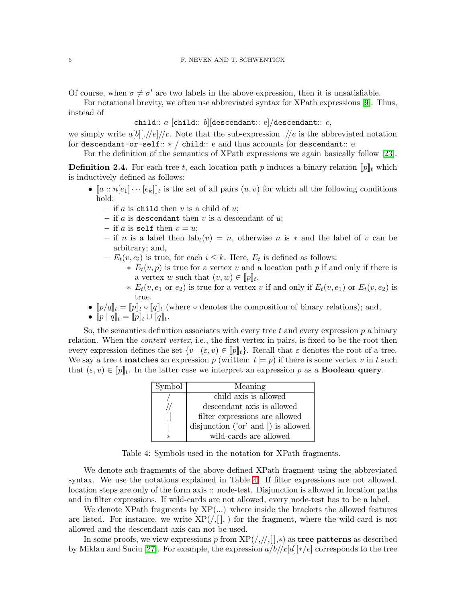Of course, when  $\sigma \neq \sigma'$  are two labels in the above expression, then it is unsatisfiable.

For notational brevity, we often use abbreviated syntax for XPath expressions [\[9\]](#page-28-0). Thus, instead of

child::  $a$  [child:: b][descendant:: e]/descendant::  $c$ ,

we simply write  $a[b] \, | \, //e] \, |/c|$ . Note that the sub-expression  $. // e$  is the abbreviated notation for descendant-or-self:: ∗ / child:: e and thus accounts for descendant:: e.

For the definition of the semantics of XPath expressions we again basically follow [\[23\]](#page-29-9).

<span id="page-5-1"></span>**Definition 2.4.** For each tree t, each location path p induces a binary relation  $[\![p]\!]_t$  which is inductively defined as follows:

- $[a::n[e_1] \cdots [e_k]]_t$  is the set of all pairs  $(u, v)$  for which all the following conditions hold:
	- if a is child then  $v$  is a child of  $u$ ;
	- if  $a$  is descendant then  $v$  is a descendant of  $u$ ;
	- if a is self then  $v = u$ ;
	- if n is a label then  $lab_t(v) = n$ , otherwise n is \* and the label of v can be arbitrary; and,
	- $-E_t(v, e_i)$  is true, for each  $i \leq k$ . Here,  $E_t$  is defined as follows:
		- $∗ E_t(v, p)$  is true for a vertex v and a location path p if and only if there is a vertex w such that  $(v, w) \in [p]_t$ .
		- ∗  $E_t(v, e_1 \text{ or } e_2)$  is true for a vertex v if and only if  $E_t(v, e_1)$  or  $E_t(v, e_2)$  is true.
- $[p/q]_t = [p]_t \circ [q]_t$  (where  $\circ$  denotes the composition of binary relations); and,
- $[p | q]_t = [p]_t \cup [q]_t.$

So, the semantics definition associates with every tree t and every expression  $p$  a binary relation. When the *context vertex*, i.e., the first vertex in pairs, is fixed to be the root then every expression defines the set  $\{v \mid (\varepsilon, v) \in [p]_t\}$ . Recall that  $\varepsilon$  denotes the root of a tree. We say a tree t **matches** an expression p (written:  $t \models p$ ) if there is some vertex v in t such that  $(\varepsilon, v) \in [p]_t$ . In the latter case we interpret an expression p as a **Boolean query**.

| Symbol  | Meaning                                    |
|---------|--------------------------------------------|
|         | child axis is allowed                      |
|         | descendant axis is allowed                 |
|         | filter expressions are allowed             |
|         | disjunction ('or' and $\vert$ ) is allowed |
| $^\ast$ | wild-cards are allowed                     |

<span id="page-5-0"></span>Table 4: Symbols used in the notation for XPath fragments.

We denote sub-fragments of the above defined XPath fragment using the abbreviated syntax. We use the notations explained in Table [4.](#page-5-0) If filter expressions are not allowed, location steps are only of the form axis :: node-test. Disjunction is allowed in location paths and in filter expressions. If wild-cards are not allowed, every node-test has to be a label.

We denote XPath fragments by  $XP(...)$  where inside the brackets the allowed features are listed. For instance, we write  $XP(\langle,|,|)\rangle$  for the fragment, where the wild-card is not allowed and the descendant axis can not be used.

In some proofs, we view expressions p from  $XP(\frac{1}{1},\frac{1}{1},*)$  as **tree patterns** as described by Miklau and Suciu [\[27\]](#page-29-0). For example, the expression  $a/b//c[d]$ [∗/e] corresponds to the tree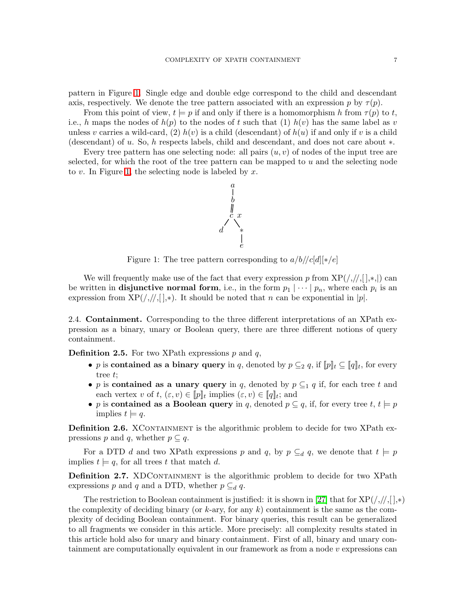pattern in Figure [1.](#page-6-0) Single edge and double edge correspond to the child and descendant axis, respectively. We denote the tree pattern associated with an expression p by  $\tau(p)$ .

From this point of view,  $t \models p$  if and only if there is a homomorphism h from  $\tau(p)$  to t, i.e., h maps the nodes of  $h(p)$  to the nodes of t such that (1)  $h(v)$  has the same label as v unless v carries a wild-card, (2)  $h(v)$  is a child (descendant) of  $h(u)$  if and only if v is a child (descendant) of u. So, h respects labels, child and descendant, and does not care about ∗.

Every tree pattern has one selecting node: all pairs  $(u, v)$  of nodes of the input tree are selected, for which the root of the tree pattern can be mapped to u and the selecting node to v. In Figure [1,](#page-6-0) the selecting node is labeled by  $x$ .



<span id="page-6-0"></span>Figure 1: The tree pattern corresponding to  $a/b//c[d][*/e]$ 

We will frequently make use of the fact that every expression p from  $XP(\frac{1}{2},\frac{1}{2},\frac{1}{2})$  can be written in **disjunctive normal form**, i.e., in the form  $p_1 | \cdots | p_n$ , where each  $p_i$  is an expression from  $XP(\frac{1}{2},\frac{1}{2})$ . It should be noted that n can be exponential in |p|.

2.4. Containment. Corresponding to the three different interpretations of an XPath expression as a binary, unary or Boolean query, there are three different notions of query containment.

**Definition 2.5.** For two XPath expressions  $p$  and  $q$ ,

- p is contained as a binary query in q, denoted by  $p \subseteq 2 q$ , if  $[[p]_t \subseteq [q]_t$ , for every tree t;
- p is contained as a unary query in q, denoted by  $p \subseteq q$  if, for each tree t and each vertex v of  $t, (\varepsilon, v) \in [p]_t$  implies  $(\varepsilon, v) \in [q]_t$ ; and
- p is contained as a Boolean query in q, denoted  $p \subseteq q$ , if, for every tree  $t, t \models p$ implies  $t \models q$ .

Definition 2.6. XCONTAINMENT is the algorithmic problem to decide for two XPath expressions p and q, whether  $p \subseteq q$ .

For a DTD d and two XPath expressions p and q, by  $p \subseteq_d q$ , we denote that  $t \models p$ implies  $t \models q$ , for all trees t that match d.

**Definition 2.7.** XDCONTAINMENT is the algorithmic problem to decide for two XPath expressions p and q and a DTD, whether  $p \subseteq_d q$ .

The restriction to Boolean containment is justified: it is shown in [\[27\]](#page-29-0) that for  $XP(\frac{\pi}{2},\frac{\pi}{2})$ the complexity of deciding binary (or  $k$ -ary, for any  $k$ ) containment is the same as the complexity of deciding Boolean containment. For binary queries, this result can be generalized to all fragments we consider in this article. More precisely: all complexity results stated in this article hold also for unary and binary containment. First of all, binary and unary containment are computationally equivalent in our framework as from a node  $v$  expressions can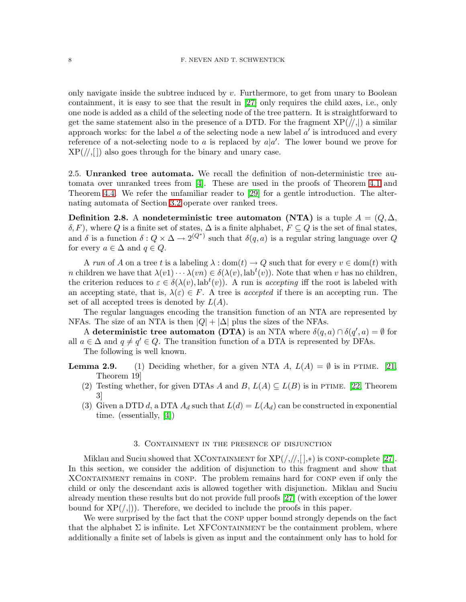only navigate inside the subtree induced by  $v$ . Furthermore, to get from unary to Boolean containment, it is easy to see that the result in [\[27\]](#page-29-0) only requires the child axes, i.e., only one node is added as a child of the selecting node of the tree pattern. It is straightforward to get the same statement also in the presence of a DTD. For the fragment  $XP(|/|)$  a similar approach works: for the label  $a$  of the selecting node a new label  $a'$  is introduced and every reference of a not-selecting node to a is replaced by  $a|a'$ . The lower bound we prove for  $XP(\frac{1}{2})$  also goes through for the binary and unary case.

2.5. Unranked tree automata. We recall the definition of non-deterministic tree automata over unranked trees from [\[4\]](#page-28-14). These are used in the proofs of Theorem [4.1](#page-12-0) and Theorem [4.4.](#page-15-1) We refer the unfamiliar reader to [\[29\]](#page-29-10) for a gentle introduction. The alternating automata of Section [3.2](#page-9-2) operate over ranked trees.

Definition 2.8. A nondeterministic tree automaton (NTA) is a tuple  $A = (Q, \Delta, \Delta)$  $\delta, F$ ), where Q is a finite set of states,  $\Delta$  is a finite alphabet,  $F \subseteq Q$  is the set of final states, and  $\delta$  is a function  $\delta: Q \times \Delta \to 2^{(Q^*)}$  such that  $\delta(q, a)$  is a regular string language over Q for every  $a \in \Delta$  and  $q \in Q$ .

A run of A on a tree t is a labeling  $\lambda : dom(t) \to Q$  such that for every  $v \in dom(t)$  with *n* children we have that  $\lambda(v_1)\cdots\lambda(v_n) \in \delta(\lambda(v), \text{lab}^t(v))$ . Note that when v has no children, the criterion reduces to  $\varepsilon \in \delta(\lambda(v), \text{lab}^t(v))$ . A run is accepting iff the root is labeled with an accepting state, that is,  $\lambda(\varepsilon) \in F$ . A tree is accepted if there is an accepting run. The set of all accepted trees is denoted by  $L(A)$ .

The regular languages encoding the transition function of an NTA are represented by NFAs. The size of an NTA is then  $|Q| + |\Delta|$  plus the sizes of the NFAs.

A deterministic tree automaton (DTA) is an NTA where  $\delta(q, a) \cap \delta(q', a) = \emptyset$  for all  $a \in \Delta$  and  $q \neq q' \in Q$ . The transition function of a DTA is represented by DFAs.

The following is well known.

<span id="page-7-1"></span>**Lemma 2.9.** (1) Deciding whether, for a given NTA A,  $L(A) = \emptyset$  is in PTIME. [\[21,](#page-29-11) Theorem 19]

- (2) Testing whether, for given DTAs A and B,  $L(A) \subseteq L(B)$  is in PTIME. [\[22,](#page-29-12) Theorem 3]
- (3) Given a DTD d, a DTA  $A_d$  such that  $L(d) = L(A_d)$  can be constructed in exponential time. (essentially, [\[4\]](#page-28-14))

# 3. Containment in the presence of disjunction

<span id="page-7-0"></span>Miklau and Suciu showed that XCONTAINMENT for  $XP(\frac{1}{2},\frac{1}{2})$  is CONP-complete [\[27\]](#page-29-0). In this section, we consider the addition of disjunction to this fragment and show that XCONTAINMENT remains in CONP. The problem remains hard for CONP even if only the child or only the descendant axis is allowed together with disjunction. Miklau and Suciu already mention these results but do not provide full proofs [\[27\]](#page-29-0) (with exception of the lower bound for  $XP(\langle, \rangle)$ . Therefore, we decided to include the proofs in this paper.

We were surprised by the fact that the CONP upper bound strongly depends on the fact that the alphabet  $\Sigma$  is infinite. Let XFCONTAINMENT be the containment problem, where additionally a finite set of labels is given as input and the containment only has to hold for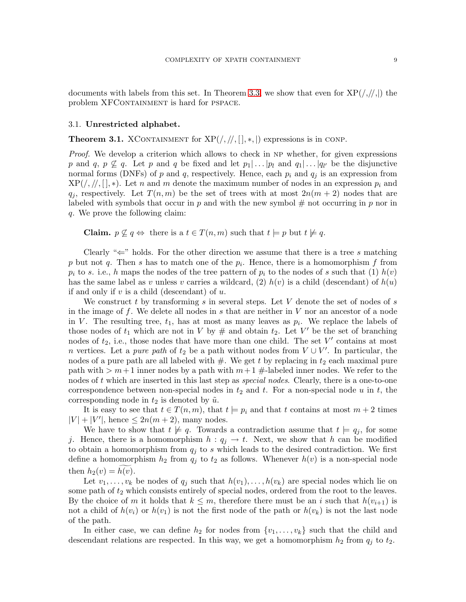documents with labels from this set. In Theorem [3.3,](#page-9-1) we show that even for  $XP(\frac{1}{1},\frac{1}{1})$  the problem XFCONTAINMENT is hard for PSPACE.

## <span id="page-8-0"></span>3.1. Unrestricted alphabet.

**Theorem 3.1.** XCONTAINMENT for  $XP(\frac{1}{1}, \frac{1}{1}, \frac{1}{1})$  expressions is in CONP.

*Proof.* We develop a criterion which allows to check in NP whether, for given expressions p and q,  $p \not\subseteq q$ . Let p and q be fixed and let  $p_1 | \dots | p_l$  and  $q_1 | \dots | q_{l'}$  be the disjunctive normal forms (DNFs) of p and q, respectively. Hence, each  $p_i$  and  $q_j$  is an expression from  $XP(\frac{1}{2}, \frac{1}{2}, \frac{1}{2})$ . Let n and m denote the maximum number of nodes in an expression  $p_i$  and  $q_j$ , respectively. Let  $T(n,m)$  be the set of trees with at most  $2n(m+2)$  nodes that are labeled with symbols that occur in  $p$  and with the new symbol  $#$  not occurring in  $p$  nor in q. We prove the following claim:

**Claim.**  $p \not\subseteq q \Leftrightarrow$  there is a  $t \in T(n,m)$  such that  $t \models p$  but  $t \not\models q$ .

Clearly " $\Leftarrow$ " holds. For the other direction we assume that there is a tree s matching p but not q. Then s has to match one of the  $p_i$ . Hence, there is a homomorphism f from  $p_i$  to s. i.e., h maps the nodes of the tree pattern of  $p_i$  to the nodes of s such that (1)  $h(v)$ has the same label as v unless v carries a wildcard, (2)  $h(v)$  is a child (descendant) of  $h(u)$ if and only if  $v$  is a child (descendant) of  $u$ .

We construct t by transforming s in several steps. Let V denote the set of nodes of s in the image of f. We delete all nodes in s that are neither in  $V$  nor an ancestor of a node in V. The resulting tree,  $t_1$ , has at most as many leaves as  $p_i$ . We replace the labels of those nodes of  $t_1$  which are not in V by # and obtain  $t_2$ . Let V' be the set of branching nodes of  $t_2$ , i.e., those nodes that have more than one child. The set  $V'$  contains at most n vertices. Let a *pure path* of  $t_2$  be a path without nodes from  $V \cup V'$ . In particular, the nodes of a pure path are all labeled with  $#$ . We get t by replacing in  $t_2$  each maximal pure path with  $>m+1$  inner nodes by a path with  $m+1 \neq 1$  abeled inner nodes. We refer to the nodes of t which are inserted in this last step as *special nodes*. Clearly, there is a one-to-one correspondence between non-special nodes in  $t_2$  and t. For a non-special node u in t, the corresponding node in  $t_2$  is denoted by  $\tilde{u}$ .

It is easy to see that  $t \in T(n,m)$ , that  $t \models p_i$  and that t contains at most  $m + 2$  times  $|V| + |V'|$ , hence  $\leq 2n(m+2)$ , many nodes.

We have to show that  $t \neq q$ . Towards a contradiction assume that  $t \models q_j$ , for some j. Hence, there is a homomorphism  $h: q_j \to t$ . Next, we show that h can be modified to obtain a homomorphism from  $q_j$  to s which leads to the desired contradiction. We first define a homomorphism  $h_2$  from  $q_j$  to  $t_2$  as follows. Whenever  $h(v)$  is a non-special node then  $h_2(v) = h(v)$ .

Let  $v_1, \ldots, v_k$  be nodes of  $q_j$  such that  $h(v_1), \ldots, h(v_k)$  are special nodes which lie on some path of  $t_2$  which consists entirely of special nodes, ordered from the root to the leaves. By the choice of m it holds that  $k \leq m$ , therefore there must be an i such that  $h(v_{i+1})$  is not a child of  $h(v_i)$  or  $h(v_1)$  is not the first node of the path or  $h(v_k)$  is not the last node of the path.

In either case, we can define  $h_2$  for nodes from  $\{v_1, \ldots, v_k\}$  such that the child and descendant relations are respected. In this way, we get a homomorphism  $h_2$  from  $q_i$  to  $t_2$ .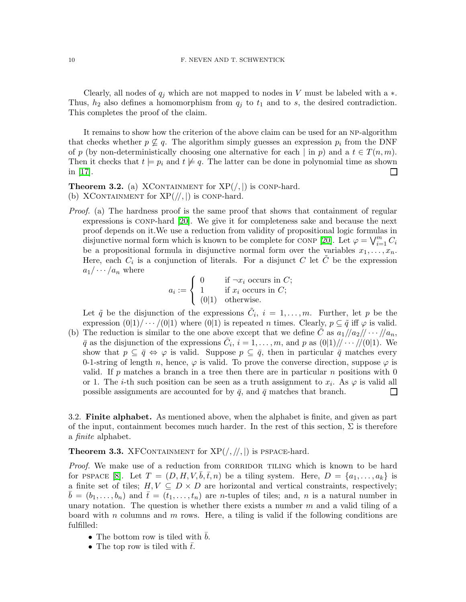Clearly, all nodes of  $q_i$  which are not mapped to nodes in V must be labeled with a  $\ast$ . Thus,  $h_2$  also defines a homomorphism from  $q_j$  to  $t_1$  and to s, the desired contradiction. This completes the proof of the claim.

It remains to show how the criterion of the above claim can be used for an np-algorithm that checks whether  $p \nsubseteq q$ . The algorithm simply guesses an expression  $p_i$  from the DNF of p (by non-deterministically choosing one alternative for each | in p) and a  $t \in T(n,m)$ . Then it checks that  $t \models p_i$  and  $t \not\models q$ . The latter can be done in polynomial time as shown in [\[17\]](#page-28-13).  $\Box$ 

<span id="page-9-0"></span>**Theorem 3.2.** (a) XCONTAINMENT for  $XP($ ,  $|)$  is conp-hard. (b) XCONTAINMENT for  $XP(\frac{1}{1})$  is conp-hard.

Proof. (a) The hardness proof is the same proof that shows that containment of regular expressions is conp-hard [\[20\]](#page-28-15). We give it for completeness sake and because the next proof depends on it.We use a reduction from validity of propositional logic formulas in disjunctive normal form which is known to be complete for CONP [\[20\]](#page-28-15). Let  $\varphi = \bigvee_{i=1}^{m} C_i$ be a propositional formula in disjunctive normal form over the variables  $x_1, \ldots, x_n$ . Here, each  $C_i$  is a conjunction of literals. For a disjunct C let  $\tilde{C}$  be the expression  $a_1/\cdots/a_n$  where

$$
a_i := \begin{cases} 0 & \text{if } \neg x_i \text{ occurs in } C; \\ 1 & \text{if } x_i \text{ occurs in } C; \\ (0|1) & \text{otherwise.} \end{cases}
$$

Let  $\tilde{q}$  be the disjunction of the expressions  $\tilde{C}_i$ ,  $i = 1, \ldots, m$ . Further, let p be the expression  $(0|1)/\cdots/(0|1)$  where  $(0|1)$  is repeated *n* times. Clearly,  $p \subseteq \tilde{q}$  iff  $\varphi$  is valid.

(b) The reduction is similar to the one above except that we define C as  $a_1/|a_2|/ \cdots /|a_n$ ,  $\bar{q}$  as the disjunction of the expressions  $\bar{C}_i$ ,  $i = 1, \ldots, m$ , and p as  $(0|1)/\sqrt{\cdots/10|1}$ . We show that  $p \subseteq \bar{q} \Leftrightarrow \varphi$  is valid. Suppose  $p \subseteq \bar{q}$ , then in particular  $\bar{q}$  matches every 0-1-string of length n, hence,  $\varphi$  is valid. To prove the converse direction, suppose  $\varphi$  is valid. If p matches a branch in a tree then there are in particular n positions with  $0$ or 1. The *i*-th such position can be seen as a truth assignment to  $x_i$ . As  $\varphi$  is valid all possible assignments are accounted for by  $\bar{q}$ , and  $\bar{q}$  matches that branch.  $\Box$ 

<span id="page-9-2"></span>3.2. Finite alphabet. As mentioned above, when the alphabet is finite, and given as part of the input, containment becomes much harder. In the rest of this section,  $\Sigma$  is therefore a finite alphabet.

<span id="page-9-1"></span>**Theorem 3.3.** XFCONTAINMENT for  $XP(/, / /, |)$  is PSPACE-hard.

*Proof.* We make use of a reduction from CORRIDOR TILING which is known to be hard for PSPACE [\[8\]](#page-28-16). Let  $T = (D, H, V, b, \bar{t}, n)$  be a tiling system. Here,  $D = \{a_1, \ldots, a_k\}$  is a finite set of tiles;  $H, V \subseteq D \times D$  are horizontal and vertical constraints, respectively;  $b = (b_1, \ldots, b_n)$  and  $\bar{t} = (t_1, \ldots, t_n)$  are *n*-tuples of tiles; and, *n* is a natural number in unary notation. The question is whether there exists a number  $m$  and a valid tiling of a board with n columns and m rows. Here, a tiling is valid if the following conditions are fulfilled:

- The bottom row is tiled with  $\bar{b}$ .
- The top row is tiled with  $\bar{t}$ .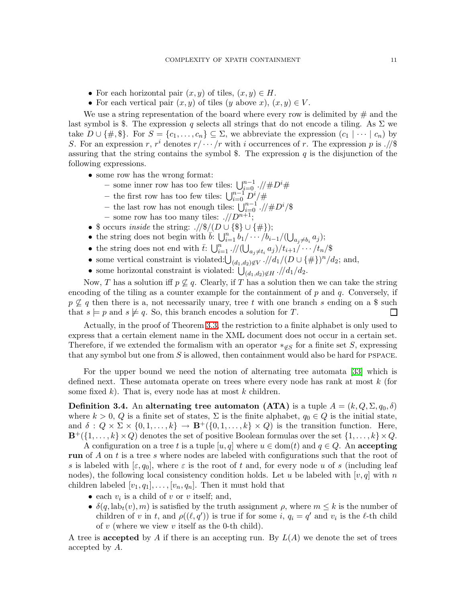- For each horizontal pair  $(x, y)$  of tiles,  $(x, y) \in H$ .
- For each vertical pair  $(x, y)$  of tiles  $(y \text{ above } x)$ ,  $(x, y) \in V$ .

We use a string representation of the board where every row is delimited by  $\#$  and the last symbol is \$. The expression q selects all strings that do not encode a tiling. As  $\Sigma$  we take  $D \cup \{\#, \$\}.$  For  $S = \{c_1, \ldots, c_n\} \subseteq \Sigma$ , we abbreviate the expression  $(c_1 \mid \cdots \mid c_n)$  by S. For an expression r,  $r^i$  denotes  $r/\cdots/r$  with i occurrences of r. The expression p is .//\$ assuring that the string contains the symbol \$. The expression  $q$  is the disjunction of the following expressions.

- some row has the wrong format:
	- some inner row has too few tiles:  $\bigcup_{i=0}^{n-1}$ .//#D<sup>i</sup>#
	- the first row has too few tiles:  $\bigcup_{i=0}^{n-1} D^i / \#$
	- the last row has not enough tiles:  $\bigcup_{i=0}^{n-1}$  .//#D<sup>i</sup>/\$
	- some row has too many tiles:  $\sqrt{D^{n+1}}$ ;
- \$ occurs inside the string:  $./\frac{\sqrt{2}}{\sqrt{D}} \cup \{\frac{\pi}{2}\}\cup \{\frac{\pi}{2}\}\$
- the string does not begin with  $\overline{b}$ :  $\bigcup_{i=1}^n b_1/\cdots/b_{i-1}/(\bigcup_{a_j\neq b_i} a_j);$
- the string does not end with  $\bar{t}$ :  $\bigcup_{i=1}^n$  .// $\big(\bigcup_{a_j\neq t_i}a_j\big)/t_{i+1}/\cdots/t_n$ /\$
- some vertical constraint is violated: $\bigcup_{(d_1,d_2)\notin V}$ .//d<sub>1</sub>/(D ∪ {#})<sup>n</sup>/d<sub>2</sub>; and,
- some horizontal constraint is violated:  $\bigcup_{(d_1,d_2)\notin H}^{\infty}$ .//d<sub>1</sub>/d<sub>2</sub>.

Now, T has a solution iff  $p \not\subseteq q$ . Clearly, if T has a solution then we can take the string encoding of the tiling as a counter example for the containment of  $p$  and  $q$ . Conversely, if  $p \not\subseteq q$  then there is a, not necessarily unary, tree t with one branch s ending on a \$ such that  $s \models p$  and  $s \not\models q$ . So, this branch encodes a solution for T.  $\Box$ 

Actually, in the proof of Theorem [3.3,](#page-9-1) the restriction to a finite alphabet is only used to express that a certain element name in the XML document does not occur in a certain set. Therefore, if we extended the formalism with an operator  $*_\mathscr{E}_S$  for a finite set S, expressing that any symbol but one from  $S$  is allowed, then containment would also be hard for PSPACE.

For the upper bound we need the notion of alternating tree automata [\[33\]](#page-29-13) which is defined next. These automata operate on trees where every node has rank at most k (for some fixed  $k$ ). That is, every node has at most  $k$  children.

**Definition 3.4.** An alternating tree automaton (ATA) is a tuple  $A = (k, Q, \Sigma, q_0, \delta)$ where  $k > 0$ , Q is a finite set of states,  $\Sigma$  is the finite alphabet,  $q_0 \in Q$  is the initial state, and  $\delta: Q \times \Sigma \times \{0, 1, \ldots, k\} \to \mathbf{B}^+(\{0, 1, \ldots, k\} \times Q)$  is the transition function. Here,  $\mathbf{B}^+(\{1,\ldots,k\}\times Q)$  denotes the set of positive Boolean formulas over the set  $\{1,\ldots,k\}\times Q$ .

A configuration on a tree t is a tuple  $[u, q]$  where  $u \in \text{dom}(t)$  and  $q \in Q$ . An accepting run of A on t is a tree s where nodes are labeled with configurations such that the root of s is labeled with  $[\varepsilon, q_0]$ , where  $\varepsilon$  is the root of t and, for every node u of s (including leaf nodes), the following local consistency condition holds. Let u be labeled with  $[v, q]$  with n children labeled  $[v_1, q_1], \ldots, [v_n, q_n]$ . Then it must hold that

- each  $v_i$  is a child of v or v itself; and,
- $\delta(q, \text{lab}_t(v), m)$  is satisfied by the truth assignment  $\rho$ , where  $m \leq k$  is the number of children of v in t, and  $\rho((\ell, q'))$  is true if for some i,  $q_i = q'$  and  $v_i$  is the  $\ell$ -th child of  $v$  (where we view  $v$  itself as the 0-th child).

A tree is accepted by A if there is an accepting run. By  $L(A)$  we denote the set of trees accepted by A.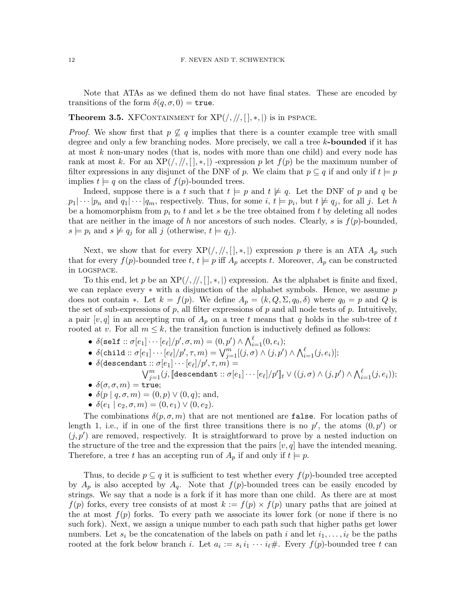<span id="page-11-0"></span>Note that ATAs as we defined them do not have final states. These are encoded by transitions of the form  $\delta(q, \sigma, 0) =$  true.

# **Theorem 3.5.** XFCONTAINMENT for  $XP(\frac{\pi}{2}, \frac{\pi}{2})$  is in PSPACE.

*Proof.* We show first that  $p \not\subseteq q$  implies that there is a counter example tree with small degree and only a few branching nodes. More precisely, we call a tree  $k$ -bounded if it has at most k non-unary nodes (that is, nodes with more than one child) and every node has rank at most k. For an  $XP(\cdot, \frac{1}{n}, k, \cdot)$  -expression p let  $f(p)$  be the maximum number of filter expressions in any disjunct of the DNF of p. We claim that  $p \subseteq q$  if and only if  $t \models p$ implies  $t \models q$  on the class of  $f(p)$ -bounded trees.

Indeed, suppose there is a t such that  $t \models p$  and  $t \not\models q$ . Let the DNF of p and q be  $p_1|\cdots|p_n$  and  $q_1|\cdots|q_m$ , respectively. Thus, for some  $i, t \models p_i$ , but  $t \not\models q_j$ , for all j. Let h be a homomorphism from  $p_i$  to t and let s be the tree obtained from t by deleting all nodes that are neither in the image of h nor ancestors of such nodes. Clearly, s is  $f(p)$ -bounded,  $s \models p_i$  and  $s \not\models q_j$  for all j (otherwise,  $t \models q_j$ ).

Next, we show that for every  $XP(\cdot, \frac{1}{1}, *, \frac{1}{1})$  expression p there is an ATA  $A_p$  such that for every  $f(p)$ -bounded tree  $t, t \models p$  iff  $A_p$  accepts t. Moreover,  $A_p$  can be constructed in logspace.

To this end, let p be an  $XP(\frac{1}{2}, \frac{1}{2}, \frac{1}{2})$  expression. As the alphabet is finite and fixed, we can replace every  $*$  with a disjunction of the alphabet symbols. Hence, we assume p does not contain ∗. Let  $k = f(p)$ . We define  $A_p = (k, Q, \Sigma, q_0, \delta)$  where  $q_0 = p$  and Q is the set of sub-expressions of  $p$ , all filter expressions of  $p$  and all node tests of  $p$ . Intuitively, a pair  $[v, q]$  in an accepting run of  $A_p$  on a tree t means that q holds in the sub-tree of t rooted at v. For all  $m \leq k$ , the transition function is inductively defined as follows:

- $\bullet \ \delta(\texttt{self}::\sigma[e_1]\cdots [e_\ell]/p',\sigma,m) = (0,p') \wedge \textstyle\bigwedge_{i=1}^\ell (0,e_i);$
- $\bullet \ \ \delta(\texttt{child}::\sigma[e_1]\cdots [e_\ell]/p',\tau,m) = \bigvee_{j=1}^m [(j,\sigma)\wedge (j,p')\wedge \bigwedge_{i=1}^\ell (j,e_i)];$
- $\bullet \ \delta (\texttt{descendant} :: \sigma [e_1] \cdots [e_\ell] / p', \tau, m) =$
- $\bigvee_{j=1}^{m}(j, \llbracket \texttt{descendant} :: \sigma[e_1] \cdots [e_\ell]/p' \rrbracket_t \vee ((j, \sigma) \wedge (j, p') \wedge \bigwedge_{i=1}^{\ell}(j, e_i));$ •  $\delta(\sigma, \sigma, m) = \text{true};$
- $\delta(p \mid q, \sigma, m) = (0, p) \vee (0, q);$  and,
- $\delta(e_1 | e_2, \sigma, m) = (0, e_1) \vee (0, e_2).$

The combinations  $\delta(p, \sigma, m)$  that are not mentioned are false. For location paths of length 1, i.e., if in one of the first three transitions there is no  $p'$ , the atoms  $(0, p')$  or  $(j, p')$  are removed, respectively. It is straightforward to prove by a nested induction on the structure of the tree and the expression that the pairs  $[v, q]$  have the intended meaning. Therefore, a tree t has an accepting run of  $A_p$  if and only if  $t \models p$ .

Thus, to decide  $p \subseteq q$  it is sufficient to test whether every  $f(p)$ -bounded tree accepted by  $A_p$  is also accepted by  $A_q$ . Note that  $f(p)$ -bounded trees can be easily encoded by strings. We say that a node is a fork if it has more than one child. As there are at most  $f(p)$  forks, every tree consists of at most  $k := f(p) \times f(p)$  unary paths that are joined at the at most  $f(p)$  forks. To every path we associate its lower fork (or none if there is no such fork). Next, we assign a unique number to each path such that higher paths get lower numbers. Let  $s_i$  be the concatenation of the labels on path i and let  $i_1, \ldots, i_\ell$  be the paths rooted at the fork below branch *i*. Let  $a_i := s_i i_1 \cdots i_\ell \#$ . Every  $f(p)$ -bounded tree t can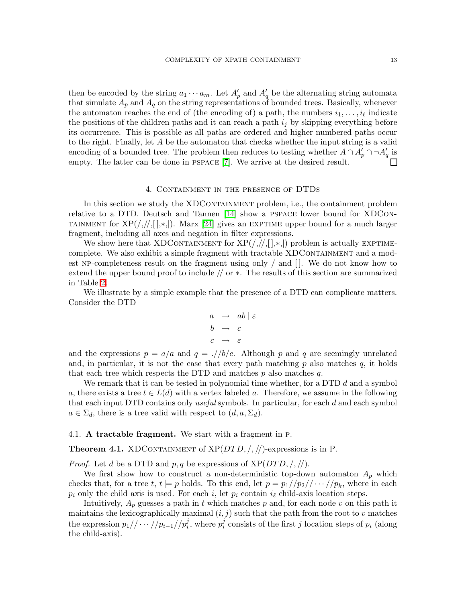then be encoded by the string  $a_1 \cdots a_m$ . Let  $A'_p$  and  $A'_q$  be the alternating string automata that simulate  $A_p$  and  $A_q$  on the string representations of bounded trees. Basically, whenever the automaton reaches the end of (the encoding of) a path, the numbers  $i_1, \ldots, i_\ell$  indicate the positions of the children paths and it can reach a path  $i_j$  by skipping everything before its occurrence. This is possible as all paths are ordered and higher numbered paths occur to the right. Finally, let A be the automaton that checks whether the input string is a valid encoding of a bounded tree. The problem then reduces to testing whether  $A \cap A'_{p} \cap \neg A'_{q}$  is empty. The latter can be done in pspace [\[7\]](#page-28-17). We arrive at the desired result.  $\Box$ 

### 4. Containment in the presence of DTDs

<span id="page-12-1"></span>In this section we study the XDCONTAINMENT problem, i.e., the containment problem relative to a DTD. Deutsch and Tannen [\[14\]](#page-28-7) show a pspace lower bound for XDCon-TAINMENT for  $XP(\frac{1}{1},\frac{1}{1},\frac{1}{2})$ . Marx [\[24\]](#page-29-4) gives an EXPTIME upper bound for a much larger fragment, including all axes and negation in filter expressions.

We show here that XDCONTAINMENT for  $XP(\frac{1}{2},\frac{1}{2},\frac{1}{2})$  problem is actually EXPTIMEcomplete. We also exhibit a simple fragment with tractable XDCONTAINMENT and a modest np-completeness result on the fragment using only / and [ ]. We do not know how to extend the upper bound proof to include // or ∗. The results of this section are summarized in Table [2.](#page-2-0)

We illustrate by a simple example that the presence of a DTD can complicate matters. Consider the DTD

$$
\begin{array}{rcl}\n a & \to & ab \mid \varepsilon \\
b & \to & c \\
c & \to & \varepsilon\n \end{array}
$$

and the expressions  $p = a/a$  and  $q = l/b/c$ . Although p and q are seemingly unrelated and, in particular, it is not the case that every path matching  $p$  also matches  $q$ , it holds that each tree which respects the DTD and matches  $p$  also matches  $q$ .

We remark that it can be tested in polynomial time whether, for a DTD  $d$  and a symbol a, there exists a tree  $t \in L(d)$  with a vertex labeled a. Therefore, we assume in the following that each input DTD contains only *useful* symbols. In particular, for each d and each symbol  $a \in \Sigma_d$ , there is a tree valid with respect to  $(d, a, \Sigma_d)$ .

#### <span id="page-12-0"></span>4.1. A tractable fragment. We start with a fragment in p.

**Theorem 4.1.** XDCONTAINMENT of  $XP(DTD, /, //)$ -expressions is in P.

*Proof.* Let d be a DTD and  $p, q$  be expressions of  $XP(DTD, /, //).$ 

We first show how to construct a non-deterministic top-down automaton  $A_p$  which checks that, for a tree t,  $t \models p$  holds. To this end, let  $p = p_1//p_2// \cdots //p_k$ , where in each  $p_i$  only the child axis is used. For each i, let  $p_i$  contain  $i_\ell$  child-axis location steps.

Intuitively,  $A_p$  guesses a path in t which matches p and, for each node v on this path it maintains the lexicographically maximal  $(i, j)$  such that the path from the root to v matches the expression  $p_1// \cdots // p_{i-1}//p_i^j$ , where  $p_i^j$  $i$  consists of the first j location steps of  $p_i$  (along the child-axis).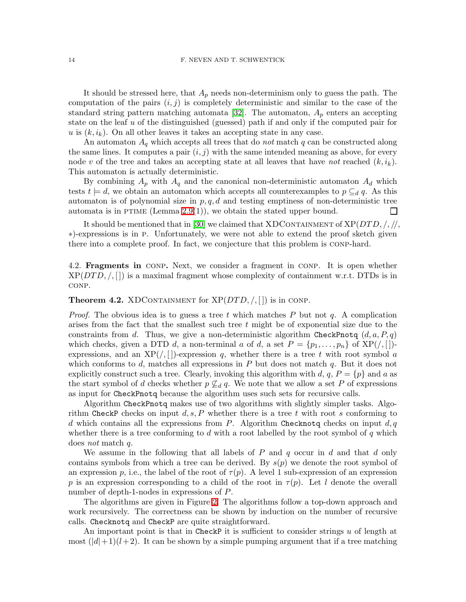It should be stressed here, that  $A_p$  needs non-determinism only to guess the path. The computation of the pairs  $(i, j)$  is completely deterministic and similar to the case of the standard string pattern matching automata [\[32\]](#page-29-14). The automaton,  $A_p$  enters an accepting state on the leaf  $u$  of the distinguished (guessed) path if and only if the computed pair for u is  $(k, i_k)$ . On all other leaves it takes an accepting state in any case.

An automaton  $A_q$  which accepts all trees that do *not* match q can be constructed along the same lines. It computes a pair  $(i, j)$  with the same intended meaning as above, for every node v of the tree and takes an accepting state at all leaves that have not reached  $(k, i_k)$ . This automaton is actually deterministic.

By combining  $A_p$  with  $A_q$  and the canonical non-deterministic automaton  $A_d$  which tests  $t \models d$ , we obtain an automaton which accepts all counterexamples to  $p \subseteq_d q$ . As this automaton is of polynomial size in  $p, q, d$  and testing emptiness of non-deterministic tree automata is in PTIME (Lemma  $2.9(1)$ ), we obtain the stated upper bound.  $\sqcup$ 

It should be mentioned that in [\[30\]](#page-29-8) we claimed that XDCONTAINMENT of  $XP(DTD, / / / /$ ∗)-expressions is in p. Unfortunately, we were not able to extend the proof sketch given there into a complete proof. In fact, we conjecture that this problem is conp-hard.

4.2. Fragments in conp. Next, we consider a fragment in conp. It is open whether  $XP(DTD, /, []$  is a maximal fragment whose complexity of containment w.r.t. DTDs is in conp.

<span id="page-13-0"></span>**Theorem 4.2.** XDCONTAINMENT for  $XP(DTD, /, []$  is in CONP.

*Proof.* The obvious idea is to guess a tree t which matches P but not q. A complication arises from the fact that the smallest such tree  $t$  might be of exponential size due to the constraints from d. Thus, we give a non-deterministic algorithm CheckPnotq  $(d, a, P, q)$ which checks, given a DTD d, a non-terminal a of d, a set  $P = \{p_1, \ldots, p_n\}$  of  $XP( /, [$ ])expressions, and an  $XP(\ell,[\cdot])$ -expression q, whether there is a tree t with root symbol a which conforms to d, matches all expressions in  $P$  but does not match  $q$ . But it does not explicitly construct such a tree. Clearly, invoking this algorithm with d,  $q$ ,  $P = \{p\}$  and a as the start symbol of d checks whether  $p \not\subseteq_d q$ . We note that we allow a set P of expressions as input for CheckPnotq because the algorithm uses such sets for recursive calls.

Algorithm CheckPnotq makes use of two algorithms with slightly simpler tasks. Algorithm CheckP checks on input  $d, s, P$  whether there is a tree t with root s conforming to d which contains all the expressions from P. Algorithm Checknota checks on input  $d, q$ whether there is a tree conforming to d with a root labelled by the root symbol of  $q$  which does not match q.

We assume in the following that all labels of  $P$  and  $q$  occur in  $d$  and that  $d$  only contains symbols from which a tree can be derived. By  $s(p)$  we denote the root symbol of an expression p, i.e., the label of the root of  $\tau(p)$ . A level 1 sub-expression of an expression p is an expression corresponding to a child of the root in  $\tau(p)$ . Let l denote the overall number of depth-1-nodes in expressions of P.

The algorithms are given in Figure [2.](#page-14-0) The algorithms follow a top-down approach and work recursively. The correctness can be shown by induction on the number of recursive calls. Checknotq and CheckP are quite straightforward.

An important point is that in CheckP it is sufficient to consider strings  $u$  of length at most  $(|d|+1)(l+2)$ . It can be shown by a simple pumping argument that if a tree matching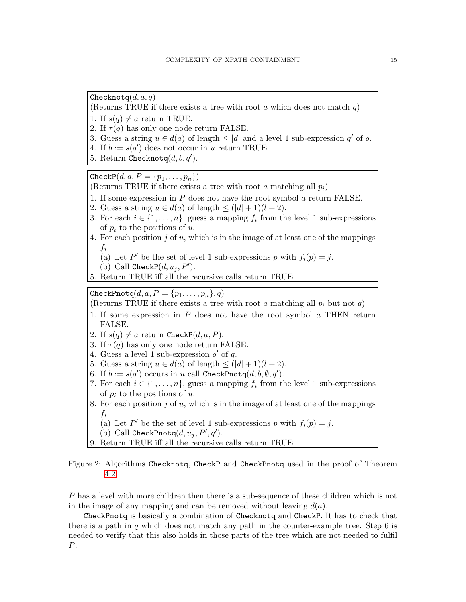Checknotq $(d, a, q)$ 

(Returns TRUE if there exists a tree with root a which does not match  $q$ )

- 1. If  $s(q) \neq a$  return TRUE.
- 2. If  $\tau(q)$  has only one node return FALSE.
- 3. Guess a string  $u \in d(a)$  of length  $\leq |d|$  and a level 1 sub-expression  $q'$  of q.
- 4. If  $b := s(q')$  does not occur in u return TRUE.
- 5. Return Checknotq $(d, b, q')$ .

Check $P(d, a, P = \{p_1, \ldots, p_n\})$ 

- (Returns TRUE if there exists a tree with root a matching all  $p_i$ )
- 1. If some expression in  $P$  does not have the root symbol  $\alpha$  return FALSE.
- 2. Guess a string  $u \in d(a)$  of length  $\leq (|d| + 1)(l + 2)$ .
- 3. For each  $i \in \{1, \ldots, n\}$ , guess a mapping  $f_i$  from the level 1 sub-expressions of  $p_i$  to the positions of u.
- 4. For each position  $j$  of  $u$ , which is in the image of at least one of the mappings  $f_i$ 
	- (a) Let P' be the set of level 1 sub-expressions p with  $f_i(p) = j$ .

(b) Call CheckP
$$
(d, u_j, P')
$$
.

5. Return TRUE iff all the recursive calls return TRUE.

CheckPnotq $(d, a, P = \{p_1, \ldots, p_n\}, q)$ 

(Returns TRUE if there exists a tree with root a matching all  $p_i$  but not q)

- 1. If some expression in  $P$  does not have the root symbol  $a$  THEN return FALSE.
- 2. If  $s(q) \neq a$  return CheckP $(d, a, P)$ .
- 3. If  $\tau(q)$  has only one node return FALSE.
- 4. Guess a level 1 sub-expression  $q'$  of q.
- 5. Guess a string  $u \in d(a)$  of length  $\leq (|d| + 1)(l + 2)$ .
- 6. If  $b := s(q')$  occurs in u call CheckPnotq $(d, b, \emptyset, q').$
- 7. For each  $i \in \{1, \ldots, n\}$ , guess a mapping  $f_i$  from the level 1 sub-expressions of  $p_i$  to the positions of u.
- 8. For each position  $j$  of  $u$ , which is in the image of at least one of the mappings  $f_i$ 
	- (a) Let P' be the set of level 1 sub-expressions p with  $f_i(p) = j$ .
	- (b) Call CheckPnotq $(d, u_j, P', q')$ .
- 9. Return TRUE iff all the recursive calls return TRUE.

<span id="page-14-0"></span>Figure 2: Algorithms Checknotq, CheckP and CheckPnotq used in the proof of Theorem [4.2.](#page-13-0)

P has a level with more children then there is a sub-sequence of these children which is not in the image of any mapping and can be removed without leaving  $d(a)$ .

CheckPnotq is basically a combination of Checknotq and CheckP. It has to check that there is a path in  $q$  which does not match any path in the counter-example tree. Step 6 is needed to verify that this also holds in those parts of the tree which are not needed to fulfil P.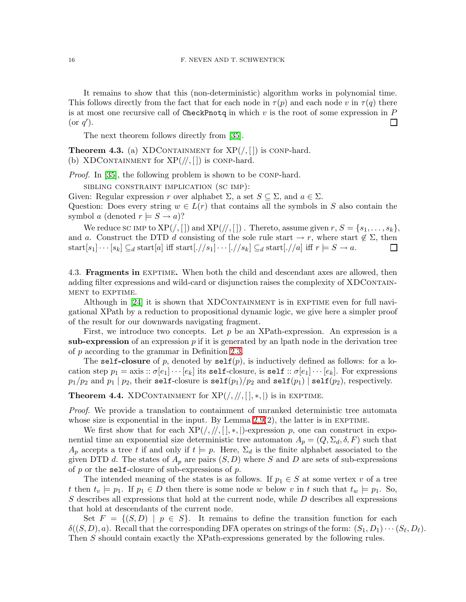It remains to show that this (non-deterministic) algorithm works in polynomial time. This follows directly from the fact that for each node in  $\tau(p)$  and each node v in  $\tau(q)$  there is at most one recursive call of CheckPnotq in which  $v$  is the root of some expression in  $P$ (or  $q'$ ). П

The next theorem follows directly from [\[35\]](#page-29-5).

<span id="page-15-0"></span>**Theorem 4.3.** (a) XDCONTAINMENT for  $XP($ ,  $|$ ) is conp-hard. (b) XDCONTAINMENT for  $XP(\frac{1}{1})$  is conp-hard.

Proof. In [\[35\]](#page-29-5), the following problem is shown to be conp-hard.

sibling constraint implication (sc imp):

Given: Regular expression r over alphabet  $\Sigma$ , a set  $S \subseteq \Sigma$ , and  $a \in \Sigma$ .

Question: Does every string  $w \in L(r)$  that contains all the symbols in S also contain the symbol a (denoted  $r \models S \rightarrow a$ )?

We reduce sc IMP to  $XP(\/,[\,])$  and  $XP(\/,[\,])$  . Thereto, assume given  $r, S = \{s_1, \ldots, s_k\},$ and a. Construct the DTD d consisting of the sole rule start  $\rightarrow r$ , where start  $\notin \Sigma$ , then start $[s_1] \cdots [s_k] \subseteq_d$  start $[a]$  iff start $[\cdot // s_1] \cdots [\cdot // s_k] \subseteq_d$  start $[\cdot // a]$  iff  $r \models S \rightarrow a$ . ப

4.3. **Fragments in** EXPTIME. When both the child and descendant axes are allowed, then adding filter expressions and wild-card or disjunction raises the complexity of XDCONTAINment to exptime.

Although in  $[24]$  it is shown that XDCONTAINMENT is in EXPTIME even for full navigational XPath by a reduction to propositional dynamic logic, we give here a simpler proof of the result for our downwards navigating fragment.

First, we introduce two concepts. Let  $p$  be an XPath-expression. An expression is a sub-expression of an expression  $p$  if it is generated by an lpath node in the derivation tree of p according to the grammar in Definition [2.3.](#page-4-0)

The self-closure of p, denoted by  $\text{self}(p)$ , is inductively defined as follows: for a location step  $p_1 = \text{axis} :: \sigma[e_1] \cdots [e_k]$  its self-closure, is self  $:: \sigma[e_1] \cdots [e_k]$ . For expressions  $p_1/p_2$  and  $p_1 | p_2$ , their self-closure is self $(p_1)/p_2$  and self $(p_1) |$  self $(p_2)$ , respectively.

<span id="page-15-1"></span>**Theorem 4.4.** XDCONTAINMENT for  $XP(/, / /, [ ], *, |)$  is in EXPTIME.

Proof. We provide a translation to containment of unranked deterministic tree automata whose size is exponential in the input. By Lemma  $2.9(2)$ , the latter is in EXPTIME.

We first show that for each  $XP(\frac{1}{2}, \frac{1}{2})$ -expression p, one can construct in exponential time an exponential size deterministic tree automaton  $A_p = (Q, \Sigma_d, \delta, F)$  such that  $A_p$  accepts a tree t if and only if  $t \models p$ . Here,  $\Sigma_d$  is the finite alphabet associated to the given DTD d. The states of  $A_p$  are pairs  $(S, D)$  where S and D are sets of sub-expressions of  $p$  or the self-closure of sub-expressions of  $p$ .

The intended meaning of the states is as follows. If  $p_1 \in S$  at some vertex v of a tree t then  $t_v \models p_1$ . If  $p_1 \in D$  then there is some node w below v in t such that  $t_w \models p_1$ . So,  $S$  describes all expressions that hold at the current node, while  $D$  describes all expressions that hold at descendants of the current node.

Set  $F = \{(S, D) \mid p \in S\}$ . It remains to define the transition function for each  $\delta((S, D), a)$ . Recall that the corresponding DFA operates on strings of the form:  $(S_1, D_1) \cdots (S_\ell, D_\ell)$ . Then S should contain exactly the XPath-expressions generated by the following rules.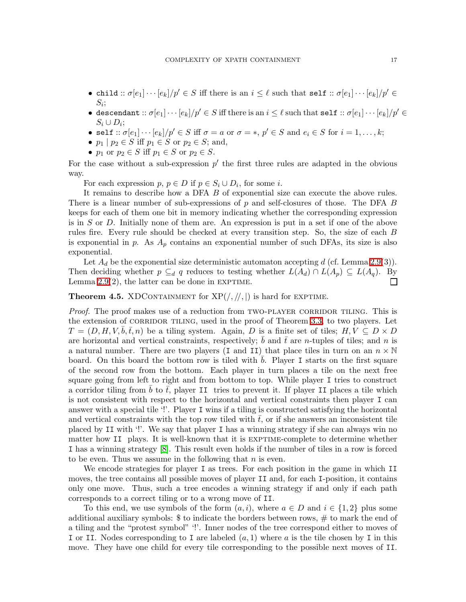- child  $:: \sigma[e_1] \cdots [e_k]/p' \in S$  iff there is an  $i \leq \ell$  such that self  $:: \sigma[e_1] \cdots [e_k]/p' \in S$  $S_i;$
- descendant  $:: \sigma[e_1] \cdots [e_k]/p' \in S$  iff there is an  $i \leq \ell$  such that self  $:: \sigma[e_1] \cdots [e_k]/p' \in S$  $S_i \cup D_i;$
- self ::  $\sigma[e_1] \cdots [e_k]/p' \in S$  iff  $\sigma = a$  or  $\sigma = *, p' \in S$  and  $e_i \in S$  for  $i = 1, \ldots, k;$
- $p_1 \mid p_2 \in S$  iff  $p_1 \in S$  or  $p_2 \in S$ ; and,
- $p_1$  or  $p_2 \in S$  iff  $p_1 \in S$  or  $p_2 \in S$ .

For the case without a sub-expression  $p'$  the first three rules are adapted in the obvious way.

For each expression  $p, p \in D$  if  $p \in S_i \cup D_i$ , for some *i*.

It remains to describe how a DFA B of exponential size can execute the above rules. There is a linear number of sub-expressions of p and self-closures of those. The DFA B keeps for each of them one bit in memory indicating whether the corresponding expression is in S or D. Initially none of them are. An expression is put in a set if one of the above rules fire. Every rule should be checked at every transition step. So, the size of each B is exponential in p. As  $A_p$  contains an exponential number of such DFAs, its size is also exponential.

Let  $A_d$  be the exponential size deterministic automaton accepting d (cf. Lemma [2.9\(](#page-7-1)3)). Then deciding whether  $p \subseteq_d q$  reduces to testing whether  $L(A_d) \cap L(A_p) \subseteq L(A_q)$ . By Lemma  $2.9(2)$ , the latter can be done in EXPTIME.  $\Box$ 

<span id="page-16-0"></span>**Theorem 4.5.** XDCONTAINMENT for  $XP(/, / /, /)$  is hard for EXPTIME.

*Proof.* The proof makes use of a reduction from TWO-PLAYER CORRIDOR TILING. This is the extension of CORRIDOR TILING, used in the proof of Theorem [3.3,](#page-9-1) to two players. Let  $T = (D, H, V, b, \bar{t}, n)$  be a tiling system. Again, D is a finite set of tiles;  $H, V \subseteq D \times D$ are horizontal and vertical constraints, respectively; b and t are n-tuples of tiles; and n is a natural number. There are two players (I and II) that place tiles in turn on an  $n \times \mathbb{N}$ board. On this board the bottom row is tiled with  $b$ . Player I starts on the first square of the second row from the bottom. Each player in turn places a tile on the next free square going from left to right and from bottom to top. While player I tries to construct a corridor tiling from b to  $\bar{t}$ , player II tries to prevent it. If player II places a tile which is not consistent with respect to the horizontal and vertical constraints then player I can answer with a special tile '!'. Player I wins if a tiling is constructed satisfying the horizontal and vertical constraints with the top row tiled with  $\bar{t}$ , or if she answers an inconsistent tile placed by II with '!'. We say that player I has a winning strategy if she can always win no matter how II plays. It is well-known that it is EXPTIME-complete to determine whether I has a winning strategy [\[8\]](#page-28-16). This result even holds if the number of tiles in a row is forced to be even. Thus we assume in the following that  $n$  is even.

We encode strategies for player I as trees. For each position in the game in which II moves, the tree contains all possible moves of player II and, for each I-position, it contains only one move. Thus, such a tree encodes a winning strategy if and only if each path corresponds to a correct tiling or to a wrong move of II.

To this end, we use symbols of the form  $(a, i)$ , where  $a \in D$  and  $i \in \{1, 2\}$  plus some additional auxiliary symbols: \$ to indicate the borders between rows, # to mark the end of a tiling and the "protest symbol" '!'. Inner nodes of the tree correspond either to moves of I or II. Nodes corresponding to I are labeled  $(a, 1)$  where a is the tile chosen by I in this move. They have one child for every tile corresponding to the possible next moves of II.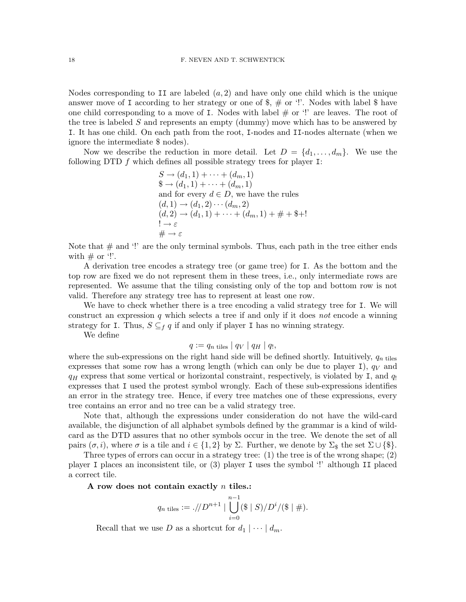Nodes corresponding to II are labeled  $(a, 2)$  and have only one child which is the unique answer move of I according to her strategy or one of  $\frac{1}{2}$ ,  $\frac{1}{2}$  or '!'. Nodes with label  $\frac{1}{2}$  have one child corresponding to a move of I. Nodes with label  $#$  or  $'$ ! are leaves. The root of the tree is labeled S and represents an empty (dummy) move which has to be answered by I. It has one child. On each path from the root, I-nodes and II-nodes alternate (when we ignore the intermediate \$ nodes).

Now we describe the reduction in more detail. Let  $D = \{d_1, \ldots, d_m\}$ . We use the following DTD  $f$  which defines all possible strategy trees for player I:

$$
S \rightarrow (d_1, 1) + \cdots + (d_m, 1)
$$
  
\n
$$
\$ \rightarrow (d_1, 1) + \cdots + (d_m, 1)
$$
  
\nand for every  $d \in D$ , we have the rules  
\n
$$
(d, 1) \rightarrow (d_1, 2) \cdots (d_m, 2)
$$
  
\n
$$
(d, 2) \rightarrow (d_1, 1) + \cdots + (d_m, 1) + \# + \$ +!
$$
  
\n
$$
\vdots \rightarrow \varepsilon
$$
  
\n
$$
\# \rightarrow \varepsilon
$$

Note that  $#$  and '!' are the only terminal symbols. Thus, each path in the tree either ends with  $\#$  or '!'.

A derivation tree encodes a strategy tree (or game tree) for I. As the bottom and the top row are fixed we do not represent them in these trees, i.e., only intermediate rows are represented. We assume that the tiling consisting only of the top and bottom row is not valid. Therefore any strategy tree has to represent at least one row.

We have to check whether there is a tree encoding a valid strategy tree for I. We will construct an expression  $q$  which selects a tree if and only if it does not encode a winning strategy for I. Thus,  $S \subseteq_f q$  if and only if player I has no winning strategy.

We define

$$
q := q_n \text{ tiles} | q_V | q_H | q_1,
$$

where the sub-expressions on the right hand side will be defined shortly. Intuitively,  $q_{n \text{ tiles}}$ expresses that some row has a wrong length (which can only be due to player I),  $q_V$  and  $q_H$  express that some vertical or horizontal constraint, respectively, is violated by I, and  $q_1$ expresses that I used the protest symbol wrongly. Each of these sub-expressions identifies an error in the strategy tree. Hence, if every tree matches one of these expressions, every tree contains an error and no tree can be a valid strategy tree.

Note that, although the expressions under consideration do not have the wild-card available, the disjunction of all alphabet symbols defined by the grammar is a kind of wildcard as the DTD assures that no other symbols occur in the tree. We denote the set of all pairs  $(\sigma, i)$ , where  $\sigma$  is a tile and  $i \in \{1, 2\}$  by  $\Sigma$ . Further, we denote by  $\Sigma_{\$}$  the set  $\Sigma \cup {\$\}$ .

Three types of errors can occur in a strategy tree: (1) the tree is of the wrong shape; (2) player I places an inconsistent tile, or (3) player I uses the symbol '!' although II placed a correct tile.

A row does not contain exactly n tiles.:

$$
q_{n \text{ tiles}} := \frac{1}{p} \int_{0}^{n+1} \left| \bigcup_{i=0}^{n-1} (\$\,|\,S)/D^i/(\$\,|\#).
$$

Recall that we use D as a shortcut for  $d_1 \mid \cdots \mid d_m$ .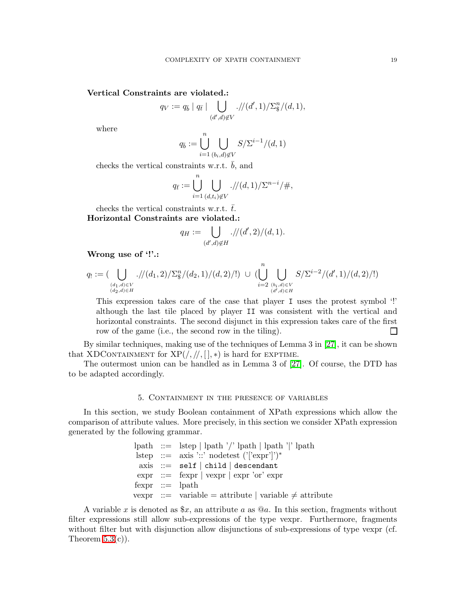# Vertical Constraints are violated.:

$$
q_V := q_{\overline{b}} \mid q_{\overline{t}} \mid \bigcup_{(d',d)\not\in V} \frac{1}{(d',1)} \sum_{\S}^n \frac{1}{(d,1)},
$$

where

$$
q_{\bar{b}} := \bigcup_{i=1}^{n} \bigcup_{(b_i,d)\notin V} S/\Sigma^{i-1}/(d,1)
$$

checks the vertical constraints w.r.t.  $\bar{b}$ , and

$$
q_{\bar{t}} := \bigcup_{i=1}^{n} \bigcup_{(d,t_i)\notin V} \frac{1}{d} \cdot \frac{1}{d} \cdot \frac{1}{\sum_{i=1}^{n-1} t_i + 1},
$$

checks the vertical constraints w.r.t.  $\bar{t}$ . Horizontal Constraints are violated.:

$$
q_H := \bigcup_{(d',d)\notin H} \frac{1}{(d',d)\in H} \cdot \frac{1}{d'} \cdot \frac{d'}{d'} \cdot \frac{1}{d}.
$$

Wrong use of '!'.:

$$
q_! := (\bigcup_{\substack{(d_1,d) \in V \\ (d_2,d) \in H}} \mathcal{N}(d_1,2) / \Sigma^n_{\$} / (d_2,1) / (d,2) / !) \ \cup \ (\bigcup_{i=2}^n \bigcup_{\substack{(b_i,d) \in V \\ (d',d) \in H}} S / \Sigma^{i-2} / (d',1) / (d,2) / !)
$$

This expression takes care of the case that player I uses the protest symbol '!' although the last tile placed by player II was consistent with the vertical and horizontal constraints. The second disjunct in this expression takes care of the first row of the game (i.e., the second row in the tiling). П

By similar techniques, making use of the techniques of Lemma 3 in [\[27\]](#page-29-0), it can be shown that XDCONTAINMENT for  $XP(\frac{1}{2}, \frac{1}{2})$  is hard for EXPTIME.

<span id="page-18-0"></span>The outermost union can be handled as in Lemma 3 of [\[27\]](#page-29-0). Of course, the DTD has to be adapted accordingly.

# 5. Containment in the presence of variables

In this section, we study Boolean containment of XPath expressions which allow the comparison of attribute values. More precisely, in this section we consider XPath expression generated by the following grammar.

```
\nlpath ::= lstep | lpath // lpath | lpath'|' lpath\n    lstep ::= axis':': \n    nodes':': \n    nodes':': \n    nodes':': \n    } self | child | descendant\n    expr ::= fexpr | vexpr | expr' or' expr\n    fexpr ::= lpath\n    vexpr ::= variable = attribute | variable 
$$
\neq
$$
 attribute\n
```

A variable x is denoted as  $x$ , an attribute a as  $@a$ . In this section, fragments without filter expressions still allow sub-expressions of the type vexpr. Furthermore, fragments without filter but with disjunction allow disjunctions of sub-expressions of type vexpr (cf. Theorem  $5.3(c)$ ).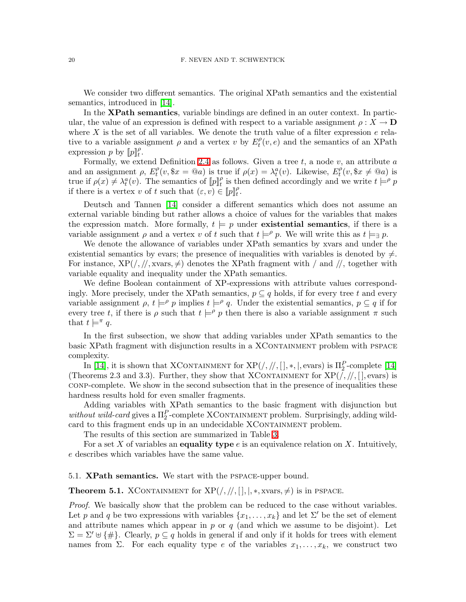We consider two different semantics. The original XPath semantics and the existential semantics, introduced in [\[14\]](#page-28-7).

In the **XPath semantics**, variable bindings are defined in an outer context. In particular, the value of an expression is defined with respect to a variable assignment  $\rho: X \to \mathbf{D}$ where X is the set of all variables. We denote the truth value of a filter expression  $e$  relative to a variable assignment  $\rho$  and a vertex v by  $E_t^{\rho}$  $_t^{\rho}(v, e)$  and the semantics of an XPath expression p by  $[p]_t^{\rho}$ .

Formally, we extend Definition [2.4](#page-5-1) as follows. Given a tree  $t$ , a node  $v$ , an attribute  $a$ and an assignment  $\rho$ ,  $E_t^{\rho}$  $t_t^{\rho}(v, \$x = @a)$  is true if  $\rho(x) = \lambda_t^a(v)$ . Likewise,  $E_t^{\rho}$  $t^{\rho}_t(v, \$x \neq \textcircled{a}a)$  is true if  $\rho(x) \neq \lambda_t^a(v)$ . The semantics of  $[\![p]\!]_t^{\rho}$  is then defined accordingly and we write  $t \models^{\rho} p$ if there is a vertex v of t such that  $(\varepsilon, v) \in [p]_t^{\rho}$ .

Deutsch and Tannen [\[14\]](#page-28-7) consider a different semantics which does not assume an external variable binding but rather allows a choice of values for the variables that makes the expression match. More formally,  $t \models p$  under existential semantics, if there is a variable assignment  $\rho$  and a vertex v of t such that  $t \models^{\rho} p$ . We will write this as  $t \models_{\exists} p$ .

We denote the allowance of variables under XPath semantics by xvars and under the existential semantics by evars; the presence of inequalities with variables is denoted by  $\neq$ . For instance,  $XP(\frac{\pi}{3},\frac{\pi}{5})$  denotes the XPath fragment with  $\pi$  and  $\pi$ , together with variable equality and inequality under the XPath semantics.

We define Boolean containment of XP-expressions with attribute values correspondingly. More precisely, under the XPath semantics,  $p \subseteq q$  holds, if for every tree t and every variable assignment  $\rho$ ,  $t \models^{\rho} p$  implies  $t \models^{\rho} q$ . Under the existential semantics,  $p \subseteq q$  if for every tree t, if there is  $\rho$  such that  $t \models^{\rho} p$  then there is also a variable assignment  $\pi$  such that  $t \models^{\pi} q$ .

In the first subsection, we show that adding variables under XPath semantics to the basic XPath fragment with disjunction results in a XCONTAINMENT problem with PSPACE complexity.

In [\[14\]](#page-28-7), it is shown that XCONTAINMENT for  $XP(\frac{\pi}{2}, \frac{\pi}{2})$ , evars) is  $\Pi_2^P$ -complete [14] (Theorems 2.3 and 3.3). Further, they show that XCONTAINMENT for  $XP(\frac{1}{2}, \frac{1}{2})$ , evars) is conp-complete. We show in the second subsection that in the presence of inequalities these hardness results hold for even smaller fragments.

Adding variables with XPath semantics to the basic fragment with disjunction but without wild-card gives a  $\Pi_2^P$ -complete XCONTAINMENT problem. Surprisingly, adding wildcard to this fragment ends up in an undecidable XCONTAINMENT problem.

The results of this section are summarized in Table [3.](#page-3-0)

For a set X of variables an **equality type**  $e$  is an equivalence relation on X. Intuitively, e describes which variables have the same value.

<span id="page-19-0"></span>5.1. XPath semantics. We start with the pspace-upper bound.

**Theorem 5.1.** XCONTAINMENT for  $XP(\frac{\pi}{2}, \frac{\pi}{2})$ ,  $\therefore$  xvars,  $\neq$ ) is in PSPACE.

Proof. We basically show that the problem can be reduced to the case without variables. Let p and q be two expressions with variables  $\{x_1, \ldots, x_k\}$  and let  $\Sigma'$  be the set of element and attribute names which appear in  $p$  or  $q$  (and which we assume to be disjoint). Let  $\Sigma = \Sigma' \cup {\{\#\}}$ . Clearly,  $p \subseteq q$  holds in general if and only if it holds for trees with element names from Σ. For each equality type e of the variables  $x_1, \ldots, x_k$ , we construct two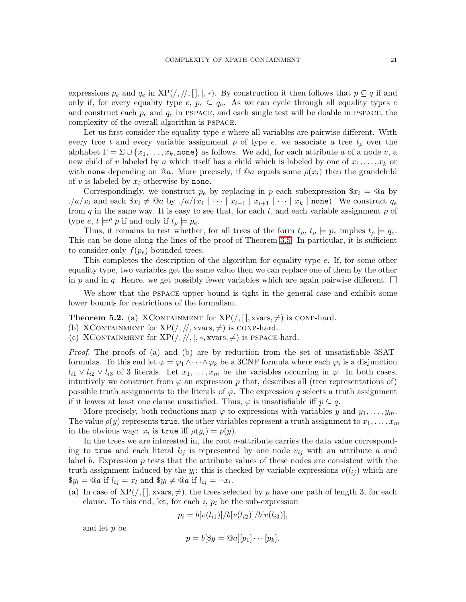expressions  $p_e$  and  $q_e$  in  $XP(\cdot, \frac{1}{1}, \frac{1}{1}, \ast)$ . By construction it then follows that  $p \subseteq q$  if and only if, for every equality type  $e, p_e \subseteq q_e$ . As we can cycle through all equality types e and construct each  $p_e$  and  $q_e$  in PSPACE, and each single test will be doable in PSPACE, the complexity of the overall algorithm is pspace.

Let us first consider the equality type  $e$  where all variables are pairwise different. With every tree t and every variable assignment  $\rho$  of type e, we associate a tree  $t_{\rho}$  over the alphabet  $\Gamma = \Sigma \cup \{x_1, \ldots, x_k, \text{none}\}$  as follows. We add, for each attribute a of a node v, a new child of v labeled by a which itself has a child which is labeled by one of  $x_1, \ldots, x_k$  or with none depending on  $@a$ . More precisely, if  $@a$  equals some  $\rho(x_i)$  then the grandchild of v is labeled by  $x_i$  otherwise by none.

Correspondingly, we construct  $p_e$  by replacing in p each subexpression  $x_i = Q_a$  by ./a/ $x_i$  and each  $x_i \neq 0$ a by ./a/( $x_1 | \cdots | x_{i-1} | x_{i+1} | \cdots | x_k |$  none). We construct  $q_e$ from q in the same way. It is easy to see that, for each t, and each variable assignment  $\rho$  of type  $e, t \models^{\rho} p$  if and only if  $t_{\rho} \models p_e$ .

Thus, it remains to test whether, for all trees of the form  $t_{\rho}$ ,  $t_{\rho} \models p_e$  implies  $t_{\rho} \models q_e$ . This can be done along the lines of the proof of Theorem [3.5.](#page-11-0) In particular, it is sufficient to consider only  $f(p_e)$ -bounded trees.

This completes the description of the algorithm for equality type e. If, for some other equality type, two variables get the same value then we can replace one of them by the other in p and in q. Hence, we get possibly fewer variables which are again pairwise different.  $\Box$ 

<span id="page-20-0"></span>We show that the PSPACE upper bound is tight in the general case and exhibit some lower bounds for restrictions of the formalism.

**Theorem 5.2.** (a) XCONTAINMENT for  $XP($ ,  $|$ , xvars,  $\neq$ ) is conp-hard.

- (b) XCONTAINMENT for  $XP(\frac{\pi}{3}, \frac{\pi}{3})$  is conp-hard.
- (c) XCONTAINMENT for  $XP(\frac{1}{2}, \frac{1}{2}, \frac{1}{2}, \frac{1}{2})$  is PSPACE-hard.

Proof. The proofs of (a) and (b) are by reduction from the set of unsatisfiable 3SATformulas. To this end let  $\varphi = \varphi_1 \wedge \cdots \wedge \varphi_k$  be a 3CNF formula where each  $\varphi_i$  is a disjunction  $l_{i1} \vee l_{i2} \vee l_{i3}$  of 3 literals. Let  $x_1, \ldots, x_m$  be the variables occurring in  $\varphi$ . In both cases, intuitively we construct from  $\varphi$  an expression p that, describes all (tree representations of) possible truth assignments to the literals of  $\varphi$ . The expression q selects a truth assignment if it leaves at least one clause unsatisfied. Thus,  $\varphi$  is unsatisfiable iff  $p \subseteq q$ .

More precisely, both reductions map  $\varphi$  to expressions with variables y and  $y_1, \ldots, y_m$ . The value  $\rho(y)$  represents true, the other variables represent a truth assignment to  $x_1, \ldots, x_m$ in the obvious way:  $x_i$  is true iff  $\rho(y_i) = \rho(y)$ .

In the trees we are interested in, the root a-attribute carries the data value corresponding to true and each literal  $l_{ij}$  is represented by one node  $v_{ij}$  with an attribute a and label b. Expression  $p$  tests that the attribute values of these nodes are consistent with the truth assignment induced by the  $y_i$ : this is checked by variable expressions  $v(l_{ij})$  which are  $\mathcal{E}y_l = \mathcal{Q}a$  if  $l_{ij} = x_l$  and  $\mathcal{E}y_l \neq \mathcal{Q}a$  if  $l_{ij} = \neg x_l$ .

(a) In case of  $XP(\ell), |, xvars, \neq)$ , the trees selected by p have one path of length 3, for each clause. To this end, let, for each  $i, p_i$  be the sub-expression

$$
p_i = b[v(l_{i1})]/b[v(l_{i2})]/b[v(l_{i3})],
$$

and let p be

$$
p = b[\$y = @a][p_1] \cdots [p_k].
$$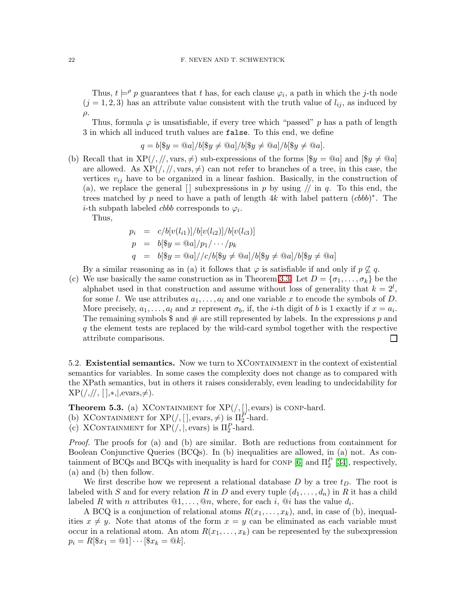Thus,  $t \models^{\rho} p$  guarantees that t has, for each clause  $\varphi_i$ , a path in which the j-th node  $(j = 1, 2, 3)$  has an attribute value consistent with the truth value of  $l_{ij}$ , as induced by  $\rho$ .

Thus, formula  $\varphi$  is unsatisfiable, if every tree which "passed" p has a path of length 3 in which all induced truth values are false. To this end, we define

$$
q = b[\$y = @a]/b[\$y \neq @a]/b[\$y \neq @a]/b[\$y \neq @a].
$$

(b) Recall that in  $XP(\cdot, \frac{\pi}{3})$  sub-expressions of the forms  $[\$y = \textcircled{a}a]$  and  $[\$y \neq \textcircled{a}a]$ are allowed. As  $XP(\frac{\pi}{3}, \frac{\pi}{2})$  can not refer to branches of a tree, in this case, the vertices  $v_{ij}$  have to be organized in a linear fashion. Basically, in the construction of (a), we replace the general  $\lceil \cdot \rceil$  subexpressions in p by using  $\ell$  in q. To this end, the trees matched by p need to have a path of length  $4k$  with label pattern  $(cbbb)^*$ . The *i*-th subpath labeled *cbbb* corresponds to  $\varphi_i$ .

Thus,

$$
p_i = c/b[v(l_{i1})]/b[v(l_{i2})]/b[v(l_{i3})]
$$
  
\n
$$
p = b[\$y = \textcircled{a}]/p_1/\cdots/p_k
$$
  
\n
$$
q = b[\$y = \textcircled{a}]/(c/b[\$y \neq \textcircled{a}]/b[\$y \neq \textcircled{a}]/b[\$y \neq \textcircled{a}]
$$

By a similar reasoning as in (a) it follows that  $\varphi$  is satisfiable if and only if  $p \not\subseteq q$ .

(c) We use basically the same construction as in Theorem [3.3.](#page-9-1) Let  $D = \{\sigma_1, \ldots, \sigma_k\}$  be the alphabet used in that construction and assume without loss of generality that  $k = 2^l$ , for some l. We use attributes  $a_1, \ldots, a_l$  and one variable x to encode the symbols of D. More precisely,  $a_1, \ldots, a_l$  and x represent  $\sigma_b$ , if, the *i*-th digit of *b* is 1 exactly if  $x = a_i$ . The remaining symbols  $\frac{1}{2}$  and  $\frac{1}{2}$  are still represented by labels. In the expressions p and q the element tests are replaced by the wild-card symbol together with the respective attribute comparisons.  $\Box$ 

5.2. Existential semantics. Now we turn to XCONTAINMENT in the context of existential semantics for variables. In some cases the complexity does not change as to compared with the XPath semantics, but in others it raises considerably, even leading to undecidability for  $XP(\frac{\pi}{\pi}, \frac{\pi}{\pi}, \frac{\pi}{\pi})$ , evars,  $\neq$ ).

<span id="page-21-0"></span>**Theorem 5.3.** (a) XCONTAINMENT for  $XP($ /, [], evars) is CONP-hard.

(b) XCONTAINMENT for  $XP(\, | \, |, \text{evars}, \neq)$  is  $\Pi_2^P$ -hard.

(c) XCONTAINMENT for  $XP(\cdot, |, \text{evars})$  is  $\Pi_2^P$ -hard.

Proof. The proofs for (a) and (b) are similar. Both are reductions from containment for Boolean Conjunctive Queries (BCQs). In (b) inequalities are allowed, in (a) not. As con-tainment of BCQs and BCQs with inequality is hard for CONP [\[6\]](#page-28-18) and  $\Pi_2^P$  [\[34\]](#page-29-15), respectively, (a) and (b) then follow.

We first describe how we represent a relational database  $D$  by a tree  $t_D$ . The root is labeled with S and for every relation R in D and every tuple  $(d_1, \ldots, d_n)$  in R it has a child labeled R with n attributes  $@1, \ldots, @n$ , where, for each i,  $@i$  has the value  $d_i$ .

A BCQ is a conjunction of relational atoms  $R(x_1, \ldots, x_k)$ , and, in case of (b), inequalities  $x \neq y$ . Note that atoms of the form  $x = y$  can be eliminated as each variable must occur in a relational atom. An atom  $R(x_1, \ldots, x_k)$  can be represented by the subexpression  $p_i = R[\$x_1 = \textcircled{a}1] \cdots [\$x_k = \textcircled{a}k].$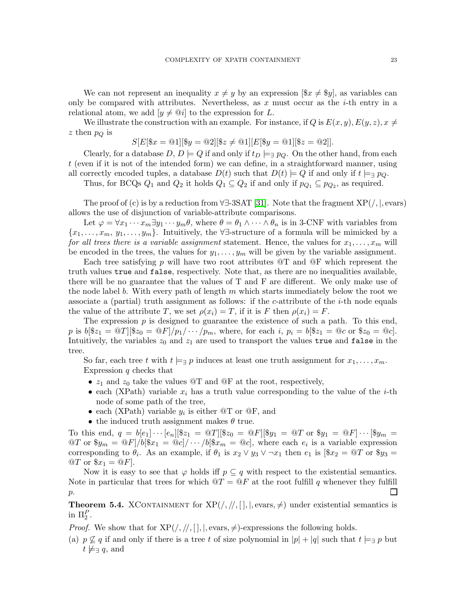We can not represent an inequality  $x \neq y$  by an expression  $[\$x \neq \$y]$ , as variables can only be compared with attributes. Nevertheless, as x must occur as the *i*-th entry in a relational atom, we add  $[y \neq \mathcal{Q}i]$  to the expression for L.

We illustrate the construction with an example. For instance, if Q is  $E(x, y)$ ,  $E(y, z)$ ,  $x \neq$ z then  $p_Q$  is

$$
S[E[\$x = \textcircled{a1}][\$y = \textcircled{a2}][\$z \neq \textcircled{a1}][E[\$y = \textcircled{a1}][\$z = \textcircled{a2}]].
$$

Clearly, for a database  $D, D \models Q$  if and only if  $t_D \models \exists p_O$ . On the other hand, from each t (even if it is not of the intended form) we can define, in a straightforward manner, using all correctly encoded tuples, a database  $D(t)$  such that  $D(t) \models Q$  if and only if  $t \models \exists p_Q$ .

Thus, for BCQs  $Q_1$  and  $Q_2$  it holds  $Q_1 \subseteq Q_2$  if and only if  $p_{Q_1} \subseteq p_{Q_2}$ , as required.

The proof of (c) is by a reduction from  $\forall \exists$ -3SAT [\[31\]](#page-29-16). Note that the fragment XP(/,|, evars) allows the use of disjunction of variable-attribute comparisons.

Let  $\varphi = \forall x_1 \cdots x_m \exists y_1 \cdots y_m \theta$ , where  $\theta = \theta_1 \wedge \cdots \wedge \theta_n$  is in 3-CNF with variables from  ${x_1, \ldots, x_m, y_1, \ldots, y_m}$ . Intuitively, the ∀∃-structure of a formula will be mimicked by a for all trees there is a variable assignment statement. Hence, the values for  $x_1, \ldots, x_m$  will be encoded in the trees, the values for  $y_1, \ldots, y_m$  will be given by the variable assignment.

Each tree satisfying p will have two root attributes  $\mathcal{Q}$  and  $\mathcal{Q}$  which represent the truth values true and false, respectively. Note that, as there are no inequalities available, there will be no guarantee that the values of T and F are different. We only make use of the node label b. With every path of length  $m$  which starts immediately below the root we associate a (partial) truth assignment as follows: if the c-attribute of the  $i$ -th node equals the value of the attribute T, we set  $\rho(x_i) = T$ , if it is F then  $\rho(x_i) = F$ .

The expression  $p$  is designed to guarantee the existence of such a path. To this end, p is  $b[$z_1 = \mathbb{Q}T][$z_0 = \mathbb{Q}F]/p_1/\cdots/p_m$ , where, for each i,  $p_i = b[$z_1 = \mathbb{Q}c$ or $z_0 = \mathbb{Q}c]$ . Intuitively, the variables  $z_0$  and  $z_1$  are used to transport the values true and false in the tree.

So far, each tree t with  $t \models_{\exists} p$  induces at least one truth assignment for  $x_1, \ldots, x_m$ . Expression  $q$  checks that

- $z_1$  and  $z_0$  take the values  $\mathcal{Q}$  and  $\mathcal{Q}$  at the root, respectively,
- each (XPath) variable  $x_i$  has a truth value corresponding to the value of the *i*-th node of some path of the tree,
- each (XPath) variable  $y_i$  is either  $@T$  or  $@F$ , and
- the induced truth assignment makes  $\theta$  true.

To this end,  $q = b[e_1] \cdots [e_n] [\$z_1 = \mathbb{O}[T][\$z_0 = \mathbb{O}[F][\$y_1 = \mathbb{O}[T] \text{ or } \$y_1 = \mathbb{O}[F] \cdots [\$y_m = \mathbb{O}[T][S] \text{ or } \$y_m = \mathbb{O}[F]$  $\mathcal{Q}T$  or  $\mathcal{Y}_{m} = \mathcal{Q}F]/b[\mathcal{X}_{1} = \mathcal{Q}c]/\cdots/b[\mathcal{X}_{m} = \mathcal{Q}c]$ , where each  $e_i$  is a variable expression corresponding to  $\theta_i$ . As an example, if  $\theta_1$  is  $x_2 \vee y_3 \vee \neg x_1$  then  $e_1$  is  $[\$x_2 = \mathbb{Q}T$$  or  $\$y_3 =$  $\mathcal{Q}T$  or  $\pounds x_1 = \mathcal{Q}F$ .

Now it is easy to see that  $\varphi$  holds iff  $p \subseteq q$  with respect to the existential semantics. Note in particular that trees for which  $\mathcal{Q}T = \mathcal{Q}F$  at the root fulfill q whenever they fulfill p.  $\mathsf{L}$ 

<span id="page-22-0"></span>**Theorem 5.4.** XCONTAINMENT for  $XP(/, / /, | \cdot |, |,$  evars,  $\neq)$  under existential semantics is in  $\Pi_2^P$ .

*Proof.* We show that for  $XP(\frac{1}{1}, \frac{1}{1}, \frac{1}{1}, \frac{1}{1})$ , evars,  $\neq$ )-expressions the following holds.

(a)  $p \nsubseteq q$  if and only if there is a tree t of size polynomial in  $|p| + |q|$  such that  $t \models_{\exists} p$  but  $t \not\models \exists q$ , and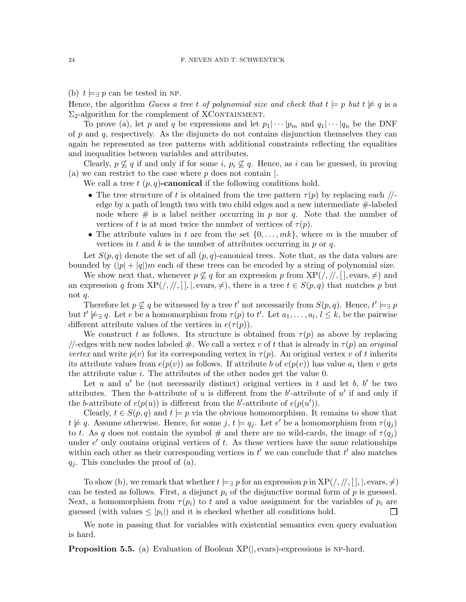(b)  $t \models_{\exists} p$  can be tested in NP.

Hence, the algorithm Guess a tree t of polynomial size and check that  $t \models p$  but  $t \not\models q$  is a  $\Sigma_2$ -algorithm for the complement of XCONTAINMENT.

To prove (a), let p and q be expressions and let  $p_1|\cdots|p_m$  and  $q_1|\cdots|q_n$  be the DNF of  $p$  and  $q$ , respectively. As the disjuncts do not contains disjunction themselves they can again be represented as tree patterns with additional constraints reflecting the equalities and inequalities between variables and attributes.

Clearly,  $p \not\subseteq q$  if and only if for some i,  $p_i \not\subseteq q$ . Hence, as i can be guessed, in proving (a) we can restrict to the case where  $p$  does not contain  $\vert$ .

We call a tree  $t$   $(p, q)$ -canonical if the following conditions hold.

- The tree structure of t is obtained from the tree pattern  $\tau(p)$  by replacing each  $/$ edge by a path of length two with two child edges and a new intermediate #-labeled node where  $\#$  is a label neither occurring in p nor q. Note that the number of vertices of t is at most twice the number of vertices of  $\tau(p)$ .
- The attribute values in t are from the set  $\{0, \ldots, mk\}$ , where m is the number of vertices in t and k is the number of attributes occurring in  $p$  or  $q$ .

Let  $S(p,q)$  denote the set of all  $(p,q)$ -canonical trees. Note that, as the data values are bounded by  $(|p| + |q|)m$  each of these trees can be encoded by a string of polynomial size.

We show next that, whenever  $p \not\subseteq q$  for an expression p from  $XP(\frac{1}{1}, \frac{1}{1})$ , evars,  $\neq$ ) and an expression q from  $XP(\frac{1}{2}, \frac{1}{2})$ ,  $|, |, evars, \neq \rangle$ , there is a tree  $t \in S(p, q)$  that matches p but not q.

Therefore let  $p \not\subseteq q$  be witnessed by a tree  $t'$  not necessarily from  $S(p, q)$ . Hence,  $t' \models_{\exists} p$ but  $t' \not\models \exists q$ . Let e be a homomorphism from  $\tau(p)$  to  $t'$ . Let  $a_1, \ldots, a_l, l \leq k$ , be the pairwise different attribute values of the vertices in  $e(\tau(p))$ .

We construct t as follows. Its structure is obtained from  $\tau(p)$  as above by replacing //-edges with new nodes labeled  $\#$ . We call a vertex v of t that is already in  $\tau(p)$  an original vertex and write  $p(v)$  for its corresponding vertex in  $\tau(p)$ . An original vertex v of t inherits its attribute values from  $e(p(v))$  as follows. If attribute b of  $e(p(v))$  has value  $a_i$  then v gets the attribute value i. The attributes of the other nodes get the value 0.

Let u and u' be (not necessarily distinct) original vertices in t and let b, b' be two attributes. Then the b-attribute of  $u$  is different from the b'-attribute of  $u'$  if and only if the b-attribute of  $e(p(u))$  is different from the b'-attribute of  $e(p(u'))$ .

Clearly,  $t \in S(p,q)$  and  $t \models p$  via the obvious homomorphism. It remains to show that  $t \not\models q$ . Assume otherwise. Hence, for some j,  $t \models q_j$ . Let e' be a homomorphism from  $\tau(q_j)$ to t. As q does not contain the symbol  $\#$  and there are no wild-cards, the image of  $\tau(q_i)$ under  $e'$  only contains original vertices of  $t$ . As these vertices have the same relationships within each other as their corresponding vertices in  $t'$  we can conclude that  $t'$  also matches  $q_i$ . This concludes the proof of (a).

To show (b), we remark that whether  $t \models \exists p$  for an expression p in  $XP(\frac{1}{1}, \frac{1}{1}, \frac{1}{1}, \frac{1}{1}, \dots, \frac{1}{n})$ can be tested as follows. First, a disjunct  $p_i$  of the disjunctive normal form of p is guessed. Next, a homomorphism from  $\tau(p_i)$  to t and a value assignment for the variables of  $p_i$  are guessed (with values  $\leq$  | $p_i$ |) and it is checked whether all conditions hold.  $\Box$ 

We note in passing that for variables with existential semantics even query evaluation is hard.

**Proposition 5.5.** (a) Evaluation of Boolean  $XP($ , evars)-expressions is NP-hard.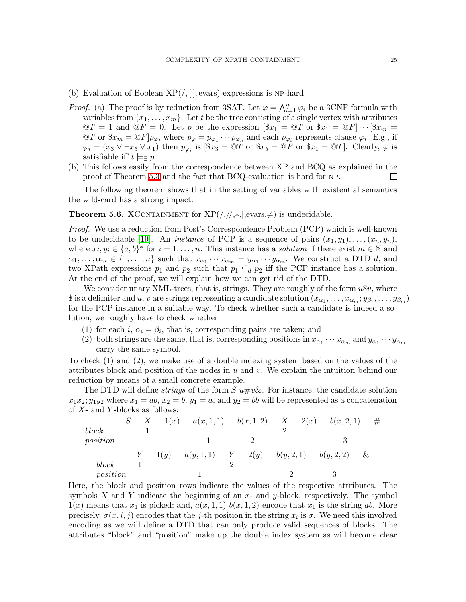- (b) Evaluation of Boolean  $XP(/, |, |, \text{evars})$ -expressions is NP-hard.
- *Proof.* (a) The proof is by reduction from 3SAT. Let  $\varphi = \bigwedge_{i=1}^{n} \varphi_i$  be a 3CNF formula with variables from  $\{x_1, \ldots, x_m\}$ . Let t be the tree consisting of a single vertex with attributes  $\mathcal{Q}T = 1$  and  $\mathcal{Q}F = 0$ . Let p be the expression  $[\$x_1 = \mathcal{Q}T$ or  $\$x_1 = \mathcal{Q}F] \cdots [\$x_m =$$  $\mathbb{Q}T$  or  $\pmb{\$x_m = \mathbb{Q}F]}p_{\varphi}$ , where  $p_{\varphi} = p_{\varphi_1} \cdots p_{\varphi_n}$  and each  $p_{\varphi_i}$  represents clause  $\varphi_i$ . E.g., if  $\varphi_i = (x_3 \vee \neg x_5 \vee x_1)$  then  $p_{\varphi_i}$  is  $[\$x_3 = \textcircled{1}T$ or $x_5 = \textcircled{1}F$ or $x_1 = \textcircled{1}T$$ . Clearly,  $\varphi$  is satisfiable iff  $t \models_{\exists} p$ .
- (b) This follows easily from the correspondence between XP and BCQ as explained in the proof of Theorem [5.3](#page-21-0) and the fact that BCQ-evaluation is hard for np. П

<span id="page-24-0"></span>The following theorem shows that in the setting of variables with existential semantics the wild-card has a strong impact.

**Theorem 5.6.** XCONTAINMENT for  $XP(\frac{1}{1}, \frac{1}{2}, \frac{1}{2})$  is undecidable.

Proof. We use a reduction from Post's Correspondence Problem (PCP) which is well-known to be undecidable [\[19\]](#page-28-19). An *instance* of PCP is a sequence of pairs  $(x_1, y_1), \ldots, (x_n, y_n)$ , where  $x_i, y_i \in \{a, b\}^*$  for  $i = 1, \ldots, n$ . This instance has a *solution* if there exist  $m \in \mathbb{N}$  and  $\alpha_1, \ldots, \alpha_m \in \{1, \ldots, n\}$  such that  $x_{\alpha_1} \cdots x_{\alpha_m} = y_{\alpha_1} \cdots y_{\alpha_m}$ . We construct a DTD d, and two XPath expressions  $p_1$  and  $p_2$  such that  $p_1 \subseteq_d p_2$  iff the PCP instance has a solution. At the end of the proof, we will explain how we can get rid of the DTD.

We consider unary XML-trees, that is, strings. They are roughly of the form  $u\$ r, where  $\$$  is a delimiter and  $u, v$  are strings representing a candidate solution  $(x_{\alpha_1}, \ldots, x_{\alpha_m}; y_{\beta_1}, \ldots, y_{\beta_m})$ for the PCP instance in a suitable way. To check whether such a candidate is indeed a solution, we roughly have to check whether

- (1) for each i,  $\alpha_i = \beta_i$ , that is, corresponding pairs are taken; and
- (2) both strings are the same, that is, corresponding positions in  $x_{\alpha_1} \cdots x_{\alpha_m}$  and  $y_{\alpha_1} \cdots y_{\alpha_m}$ carry the same symbol.

To check (1) and (2), we make use of a double indexing system based on the values of the attributes block and position of the nodes in u and v. We explain the intuition behind our reduction by means of a small concrete example.

The DTD will define *strings* of the form  $S u \# v \&$ . For instance, the candidate solution  $x_1x_2; y_1y_2$  where  $x_1 = ab, x_2 = b, y_1 = a$ , and  $y_2 = bb$  will be represented as a concatenation of  $X$ - and  $Y$ -blocks as follows:

|          | $S$ X |      | $1(x)$ $a(x,1,1)$ $b(x,1,2)$ X $2(x)$ |  |  | b(x, 2, 1)                | # |  |
|----------|-------|------|---------------------------------------|--|--|---------------------------|---|--|
| block    |       |      |                                       |  |  |                           |   |  |
| position |       |      |                                       |  |  |                           |   |  |
|          |       | 1(y) | $a(y, 1, 1)$ $Y$ $2(y)$               |  |  | $b(y, 2, 1)$ $b(y, 2, 2)$ | & |  |
| block    |       |      |                                       |  |  |                           |   |  |
| position |       |      |                                       |  |  |                           |   |  |

Here, the block and position rows indicate the values of the respective attributes. The symbols X and Y indicate the beginning of an x- and y-block, respectively. The symbol  $1(x)$  means that  $x_1$  is picked; and,  $a(x, 1, 1)$   $b(x, 1, 2)$  encode that  $x_1$  is the string ab. More precisely,  $\sigma(x, i, j)$  encodes that the j-th position in the string  $x_i$  is  $\sigma$ . We need this involved encoding as we will define a DTD that can only produce valid sequences of blocks. The attributes "block" and "position" make up the double index system as will become clear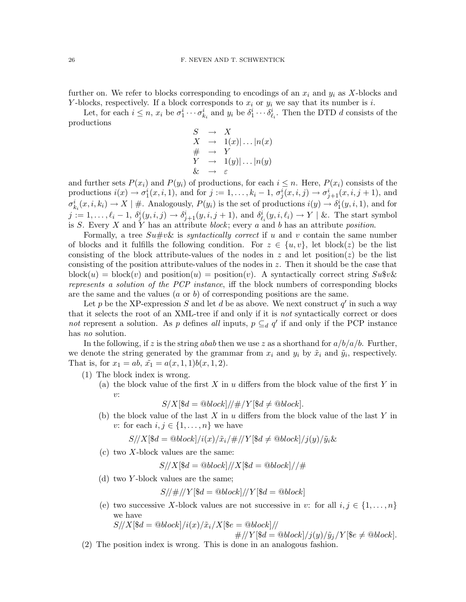further on. We refer to blocks corresponding to encodings of an  $x_i$  and  $y_i$  as X-blocks and Y-blocks, respectively. If a block corresponds to  $x_i$  or  $y_i$  we say that its number is i.

Let, for each  $i \leq n$ ,  $x_i$  be  $\sigma_1^i \cdots \sigma_{k_i}^i$  and  $y_i$  be  $\delta_1^i \cdots \delta_{\ell_i}^i$ . Then the DTD d consists of the productions

$$
S \rightarrow X
$$
  
\n
$$
X \rightarrow 1(x) | \dots | n(x)
$$
  
\n
$$
H \rightarrow Y
$$
  
\n
$$
Y \rightarrow 1(y) | \dots | n(y)
$$
  
\n
$$
\& \rightarrow \varepsilon
$$

and further sets  $P(x_i)$  and  $P(y_i)$  of productions, for each  $i \leq n$ . Here,  $P(x_i)$  consists of the productions  $i(x) \to \sigma_1^i(x, i, 1)$ , and for  $j := 1, \ldots, k_i - 1$ ,  $\sigma_j^i(x, i, j) \to \sigma_{j+1}^i(x, i, j+1)$ , and  $\sigma_{k_i}^i(x,i,k_i) \to X \mid \text{#. Analogously, } P(y_i)$  is the set of productions  $i(y) \to \delta_1^i(y,i,1)$ , and for  $j := 1, \ldots, \ell_i - 1, \ \delta^i_j(y, i, j) \to \delta^i_{j+1}(y, i, j+1)$ , and  $\delta^i_{\ell_i}(y, i, \ell_i) \to Y \mid \&\text{. The start symbol}$ is S. Every X and Y has an attribute block; every a and b has an attribute position.

Formally, a tree  $S\psi\psi\&\text{ is syntactically correct if }u\text{ and }v\text{ contain the same number}$ of blocks and it fulfills the following condition. For  $z \in \{u, v\}$ , let block(z) be the list consisting of the block attribute-values of the nodes in z and let position(z) be the list consisting of the position attribute-values of the nodes in  $z$ . Then it should be the case that block $(u)$  = block $(v)$  and position $(u)$  = position $(v)$ . A syntactically correct string  $Sukv\&$ represents a solution of the PCP instance, iff the block numbers of corresponding blocks are the same and the values  $(a \text{ or } b)$  of corresponding positions are the same.

Let p be the XP-expression S and let d be as above. We next construct  $q'$  in such a way that it selects the root of an XML-tree if and only if it is not syntactically correct or does not represent a solution. As p defines all inputs,  $p \subseteq_d q'$  if and only if the PCP instance has *no* solution.

In the following, if z is the string abab then we use z as a shorthand for  $a/b/a/b$ . Further, we denote the string generated by the grammar from  $x_i$  and  $y_i$  by  $\tilde{x}_i$  and  $\tilde{y}_i$ , respectively. That is, for  $x_1 = ab$ ,  $\tilde{x_1} = a(x, 1, 1)b(x, 1, 2)$ .

- (1) The block index is wrong.
	- (a) the block value of the first  $X$  in  $u$  differs from the block value of the first  $Y$  in  $v:$

$$
S/X[\$d = \textcircled{block}]/\#/Y[\$d \neq \textcircled{block}].
$$

(b) the block value of the last  $X$  in  $u$  differs from the block value of the last  $Y$  in v: for each  $i, j \in \{1, \ldots, n\}$  we have

$$
S//X[\$d = @block]/i(x)/\tilde{x}_i/\#//Y[\$d \neq @block]/j(y)/\tilde{y}_i\&
$$

 $(c)$  two X-block values are the same:

$$
S/\!/X[\$d=\text{@block}]/\!/X[\$d=\text{@block}]//\#
$$

(d) two Y -block values are the same;

$$
S/\neq/\!/Y[\$d=\textcircled{a}block]/\!/Y[\$d=\textcircled{a}block]
$$

(e) two successive X-block values are not successive in v: for all  $i, j \in \{1, \ldots, n\}$ we have

 $S/\langle X|\$d = \text{Qblock}\rangle/i(x)/\tilde{x}_i/X|\$e = \text{Qblock}\rangle/\langle$ 

$$
\#/\!/Y[\$d=\text{@block}]/j(y)/\tilde{y}_j/Y[\$e\neq\text{@block}].
$$

(2) The position index is wrong. This is done in an analogous fashion.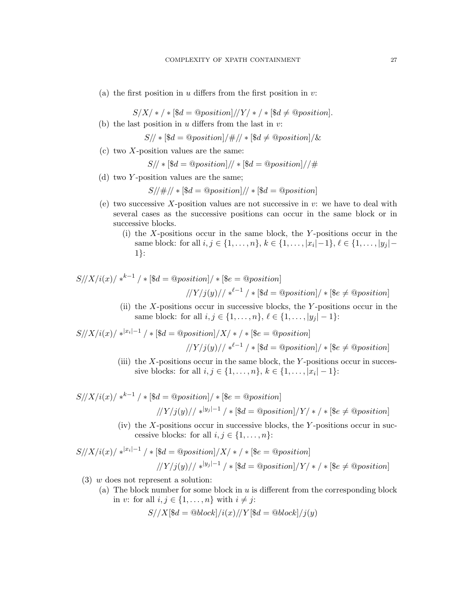(a) the first position in  $u$  differs from the first position in  $v$ :

 $S/X$  +  $\neq$  \$d = @position $]/Y$  +  $\neq$  \$d  $\neq$  @position]. (b) the last position in  $u$  differs from the last in  $v$ :

$$
S/\!/\ast [\$d = @position]/\#/\!/ \ast [\$d \neq @position]/\&
$$

 $(c)$  two X-position values are the same:

 $S/\sqrt{*}$   $\left[\frac{6}{3}d = \frac{\text{Q}}{\text{position}}\right] / \sqrt{*}$   $\left[\frac{6}{3}d = \frac{\text{Q}}{\text{position}}\right] / \sqrt{4}$ 

(d) two Y -position values are the same;

$$
S/\neq\neq |\$d = @position]/\neq [\$d = @position]
$$

- (e) two successive X-position values are not successive in  $v$ : we have to deal with several cases as the successive positions can occur in the same block or in successive blocks.
	- (i) the  $X$ -positions occur in the same block, the  $Y$ -positions occur in the same block: for all  $i, j \in \{1, ..., n\}, k \in \{1, ..., |x_i| - 1\}, \ell \in \{1, ..., |y_j| - \ell\}$ 1}:

$$
S//X/i(x) \mid *^{k-1} \mid * [\$d = @position] \mid * [\$e = @position]
$$
  
\n
$$
//Y/j(y) \mid *^{l-1} \mid * [\$d = @position] \mid * [\$e \neq @position]
$$

(ii) the X-positions occur in successive blocks, the Y -positions occur in the same block: for all  $i, j \in \{1, ..., n\}, \ell \in \{1, ..., |y_j| - 1\}$ :

$$
S/\!/X/i(x)/*^{|x_i|-1}/*[\$d = @position]/X/*,*[\$e = @position]
$$

$$
|Y/j(y)/| *^{l-1} / * [\$d = @position] / * [\$e \neq @position]
$$

(iii) the  $X$ -positions occur in the same block, the  $Y$ -positions occur in successive blocks: for all  $i, j \in \{1, ..., n\}, k \in \{1, ..., |x_i| - 1\}$ :

$$
S//X/i(x) \mid *^{k-1} \mid * [\$d = @position] \mid * [\$e = @position]
$$
  
\n
$$
//Y/j(y) \mid *^{|y_j|-1} \mid * [\$d = @position] \mid Y \mid * \mid *\$e \neq @position]
$$

(iv) the  $X$ -positions occur in successive blocks, the  $Y$ -positions occur in successive blocks: for all  $i, j \in \{1, ..., n\}$ :

$$
S/\langle X/i(x) \rangle *^{|x_i|-1} / * [\$d = \textcirc{position}]/X \rangle * \langle * [\$e = \textcirc{position}]
$$
  

$$
/\langle Y/j(y) \rangle / *^{|y_j|-1} / * [\$d = \textcirc{position}]/Y \rangle * \langle * [\$e \neq \textcirc{position}]
$$

- $(3)$  w does not represent a solution:
	- (a) The block number for some block in u is different from the corresponding block in v: for all  $i, j \in \{1, \ldots, n\}$  with  $i \neq j$ :

$$
S//X[\$d = \text{@block}]/i(x)//Y[\$d = \text{@block}]/j(y)
$$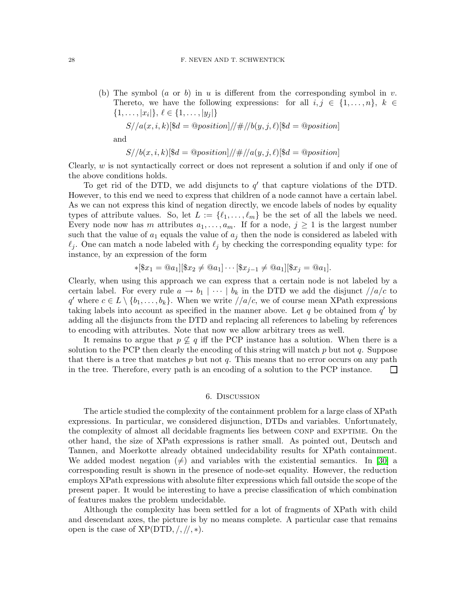(b) The symbol (a or b) in u is different from the corresponding symbol in v. Thereto, we have the following expressions: for all  $i, j \in \{1, \ldots, n\}, k \in$  $\{1, \ldots, |x_i|\}, \ell \in \{1, \ldots, |y_j|\}$ 

$$
S//a(x, i, k)[\$d = @position]/\#//b(y, j, \ell)[\$d = @position]
$$

and

$$
S//b(x,i,k)[\$d = @position]/\#//a(y,j,\ell)[\$d = @position]
$$

Clearly,  $w$  is not syntactically correct or does not represent a solution if and only if one of the above conditions holds.

To get rid of the DTD, we add disjuncts to  $q'$  that capture violations of the DTD. However, to this end we need to express that children of a node cannot have a certain label. As we can not express this kind of negation directly, we encode labels of nodes by equality types of attribute values. So, let  $L := \{\ell_1, \ldots, \ell_m\}$  be the set of all the labels we need. Every node now has m attributes  $a_1, \ldots, a_m$ . If for a node,  $j \geq 1$  is the largest number such that the value of  $a_1$  equals the value of  $a_j$  then the node is considered as labeled with  $\ell_j$ . One can match a node labeled with  $\ell_j$  by checking the corresponding equality type: for instance, by an expression of the form

$$
*[\$x_1 = @a_1][\$x_2 \neq @a_1] \cdots [\$x_{j-1} \neq @a_1][\$x_j = @a_1].
$$

Clearly, when using this approach we can express that a certain node is not labeled by a certain label. For every rule  $a \to b_1 \mid \cdots \mid b_k$  in the DTD we add the disjunct  $\sqrt{a/c}$  to q' where  $c \in L \setminus \{b_1, \ldots, b_k\}$ . When we write  $//a/c$ , we of course mean XPath expressions taking labels into account as specified in the manner above. Let  $q$  be obtained from  $q'$  by adding all the disjuncts from the DTD and replacing all references to labeling by references to encoding with attributes. Note that now we allow arbitrary trees as well.

It remains to argue that  $p \not\subseteq q$  iff the PCP instance has a solution. When there is a solution to the PCP then clearly the encoding of this string will match  $p$  but not  $q$ . Suppose that there is a tree that matches  $p$  but not  $q$ . This means that no error occurs on any path in the tree. Therefore, every path is an encoding of a solution to the PCP instance.  $\Box$ 

## 6. Discussion

<span id="page-27-0"></span>The article studied the complexity of the containment problem for a large class of XPath expressions. In particular, we considered disjunction, DTDs and variables. Unfortunately, the complexity of almost all decidable fragments lies between CONP and EXPTIME. On the other hand, the size of XPath expressions is rather small. As pointed out, Deutsch and Tannen, and Moerkotte already obtained undecidability results for XPath containment. We added modest negation  $(\neq)$  and variables with the existential semantics. In [\[30\]](#page-29-8) a corresponding result is shown in the presence of node-set equality. However, the reduction employs XPath expressions with absolute filter expressions which fall outside the scope of the present paper. It would be interesting to have a precise classification of which combination of features makes the problem undecidable.

Although the complexity has been settled for a lot of fragments of XPath with child and descendant axes, the picture is by no means complete. A particular case that remains open is the case of  $XP(DTD, /, / /, *)$ .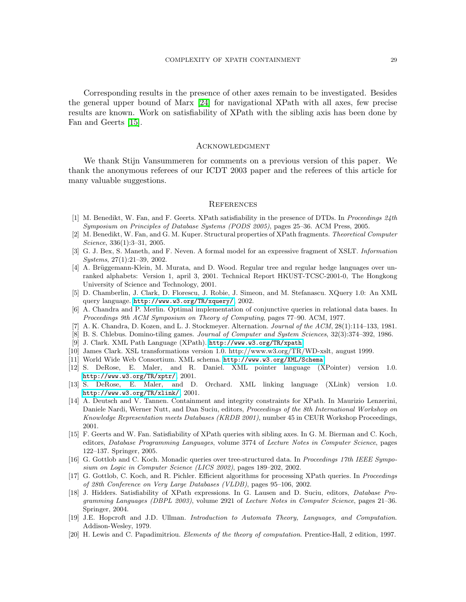Corresponding results in the presence of other axes remain to be investigated. Besides the general upper bound of Marx [\[24\]](#page-29-4) for navigational XPath with all axes, few precise results are known. Work on satisfiability of XPath with the sibling axis has been done by Fan and Geerts [\[15\]](#page-28-11).

#### **ACKNOWLEDGMENT**

We thank Stijn Vansummeren for comments on a previous version of this paper. We thank the anonymous referees of our ICDT 2003 paper and the referees of this article for many valuable suggestions.

#### **REFERENCES**

- <span id="page-28-10"></span>[1] M. Benedikt, W. Fan, and F. Geerts. XPath satisfiability in the presence of DTDs. In Proceedings 24th Symposium on Principles of Database Systems (PODS 2005), pages 25–36. ACM Press, 2005.
- <span id="page-28-8"></span>[2] M. Benedikt, W. Fan, and G. M. Kuper. Structural properties of XPath fragments. Theoretical Computer Science, 336(1):3–31, 2005.
- <span id="page-28-2"></span>[3] G. J. Bex, S. Maneth, and F. Neven. A formal model for an expressive fragment of XSLT. Information Systems, 27(1):21–39, 2002.
- <span id="page-28-14"></span>[4] A. Brüggemann-Klein, M. Murata, and D. Wood. Regular tree and regular hedge languages over unranked alphabets: Version 1, april 3, 2001. Technical Report HKUST-TCSC-2001-0, The Hongkong University of Science and Technology, 2001.
- <span id="page-28-1"></span>[5] D. Chamberlin, J. Clark, D. Florescu, J. Robie, J. Simeon, and M. Stefanascu. XQuery 1.0: An XML query language. <http://www.w3.org/TR/xquery/>, 2002.
- <span id="page-28-18"></span>[6] A. Chandra and P. Merlin. Optimal implementation of conjunctive queries in relational data bases. In Proceedings 9th ACM Symposium on Theory of Computing, pages 77–90. ACM, 1977.
- <span id="page-28-17"></span><span id="page-28-16"></span>[7] A. K. Chandra, D. Kozen, and L. J. Stockmeyer. Alternation. Journal of the ACM, 28(1):114–133, 1981.
- [8] B. S. Chlebus. Domino-tiling games. Journal of Computer and System Sciences, 32(3):374–392, 1986.
- [9] J. Clark. XML Path Language (XPath). <http://www.w3.org/TR/xpath>.
- <span id="page-28-4"></span><span id="page-28-3"></span><span id="page-28-0"></span>[10] James Clark. XSL transformations version 1.0. http://www.w3.org/TR/WD-xslt, august 1999.
- <span id="page-28-6"></span>[11] World Wide Web Consortium. XML schema. <http://www.w3.org/XML/Schema>.
- [12] S. DeRose, E. Maler, and R. Daniel. XML pointer language (XPointer) version 1.0. <http://www.w3.org/TR/xptr/>, 2001.
- <span id="page-28-5"></span>[13] S. DeRose, E. Maler, and D. Orchard. XML linking language (XLink) version 1.0. <http://www.w3.org/TR/xlink/>, 2001.
- <span id="page-28-7"></span>[14] A. Deutsch and V. Tannen. Containment and integrity constraints for XPath. In Maurizio Lenzerini, Daniele Nardi, Werner Nutt, and Dan Suciu, editors, Proceedings of the 8th International Workshop on Knowledge Representation meets Databases (KRDB 2001), number 45 in CEUR Workshop Proceedings, 2001.
- <span id="page-28-11"></span>[15] F. Geerts and W. Fan. Satisfiability of XPath queries with sibling axes. In G. M. Bierman and C. Koch, editors, Database Programming Languages, volume 3774 of Lecture Notes in Computer Science, pages 122–137. Springer, 2005.
- <span id="page-28-12"></span>[16] G. Gottlob and C. Koch. Monadic queries over tree-structured data. In Proceedings 17th IEEE Symposium on Logic in Computer Science (LICS 2002), pages 189–202, 2002.
- <span id="page-28-13"></span>[17] G. Gottlob, C. Koch, and R. Pichler. Efficient algorithms for processing XPath queries. In Proceedings of 28th Conference on Very Large Databases (VLDB), pages 95–106, 2002.
- <span id="page-28-9"></span>[18] J. Hidders. Satisfiability of XPath expressions. In G. Lausen and D. Suciu, editors, Database Programming Languages (DBPL 2003), volume 2921 of Lecture Notes in Computer Science, pages 21–36. Springer, 2004.
- <span id="page-28-19"></span>[19] J.E. Hopcroft and J.D. Ullman. Introduction to Automata Theory, Languages, and Computation. Addison-Wesley, 1979.
- <span id="page-28-15"></span>[20] H. Lewis and C. Papadimitriou. Elements of the theory of computation. Prentice-Hall, 2 edition, 1997.